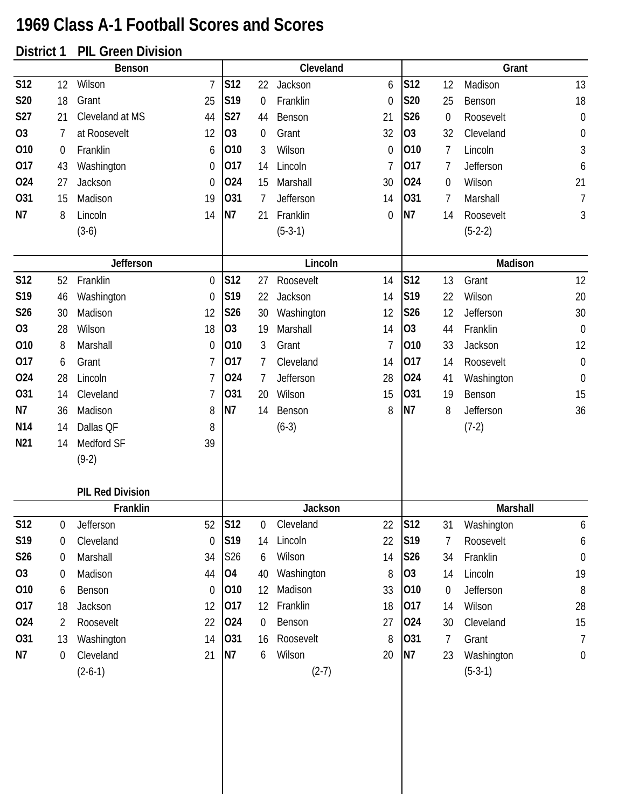## **1969 Class A-1 Football Scores and Scores**

## **District 1 PIL Green Division**

|                 |                  | Benson                  |                  |                |             | Cleveland  |              |                 |                  | Grant      |                  |
|-----------------|------------------|-------------------------|------------------|----------------|-------------|------------|--------------|-----------------|------------------|------------|------------------|
| <b>S12</b>      | 12               | Wilson                  | $\overline{7}$   | <b>S12</b>     | 22          | Jackson    | 6            | <b>S12</b>      | 12               | Madison    | 13               |
| S20             | 18               | Grant                   | 25               | S19            | 0           | Franklin   | $\mathbf 0$  | S20             | 25               | Benson     | 18               |
| <b>S27</b>      | 21               | Cleveland at MS         | 44               | <b>S27</b>     | 44          | Benson     | 21           | <b>S26</b>      | $\boldsymbol{0}$ | Roosevelt  | $\boldsymbol{0}$ |
| O <sub>3</sub>  | 7                | at Roosevelt            | 12               | 03             | 0           | Grant      | 32           | O <sub>3</sub>  | 32               | Cleveland  | $\boldsymbol{0}$ |
| 010             | $\boldsymbol{0}$ | Franklin                | 6                | 010            | 3           | Wilson     | $\mathbf{0}$ | 010             | $\overline{7}$   | Lincoln    | $\sqrt{3}$       |
| 017             | 43               | Washington              | 0                | 017            | 14          | Lincoln    | 7            | 017             | 7                | Jefferson  | 6                |
| 024             | 27               | Jackson                 | $\overline{0}$   | 024            | 15          | Marshall   | 30           | 024             | $\boldsymbol{0}$ | Wilson     | 21               |
| 031             | 15               | Madison                 | 19               | 031            | 7           | Jefferson  | 14           | 031             | 7                | Marshall   | 7                |
| N7              | 8                | Lincoln                 | 14               | <b>N7</b>      | 21          | Franklin   | 0            | N7              | 14               | Roosevelt  | 3                |
|                 |                  | $(3-6)$                 |                  |                |             | $(5-3-1)$  |              |                 |                  | $(5-2-2)$  |                  |
|                 |                  | Jefferson               |                  |                |             | Lincoln    |              |                 |                  | Madison    |                  |
| <b>S12</b>      | 52               | Franklin                | 0                | S12            | 27          | Roosevelt  | 14           | S <sub>12</sub> | 13               | Grant      | 12               |
| S19             | 46               | Washington              | $\overline{0}$   | S19            | 22          | Jackson    | 14           | S19             | 22               | Wilson     | 20               |
| S26             | 30               | Madison                 | 12               | S26            | 30          | Washington | 12           | S26             | 12               | Jefferson  | 30               |
| O <sub>3</sub>  | 28               | Wilson                  | 18               | O <sub>3</sub> | 19          | Marshall   | 14           | O <sub>3</sub>  | 44               | Franklin   | $\boldsymbol{0}$ |
| 010             | 8                | Marshall                | $\theta$         | 010            | 3           | Grant      | 7            | 010             | 33               | Jackson    | 12               |
| 017             | 6                | Grant                   | 7                | 017            | 7           | Cleveland  | 14           | 017             | 14               | Roosevelt  | $\boldsymbol{0}$ |
| 024             | 28               | Lincoln                 | 7                | 024            | 7           | Jefferson  | 28           | 024             | 41               | Washington | $\boldsymbol{0}$ |
| 031             | 14               | Cleveland               | 7                | 031            | 20          | Wilson     | 15           | 031             | 19               | Benson     | 15               |
| N7              | 36               | Madison                 | 8                | N7             | 14          | Benson     | 8            | N7              | 8                | Jefferson  | 36               |
| N <sub>14</sub> | 14               | Dallas QF               | 8                |                |             | $(6-3)$    |              |                 |                  | $(7-2)$    |                  |
| N21             | 14               | Medford SF              | 39               |                |             |            |              |                 |                  |            |                  |
|                 |                  | $(9-2)$                 |                  |                |             |            |              |                 |                  |            |                  |
|                 |                  | <b>PIL Red Division</b> |                  |                |             |            |              |                 |                  |            |                  |
|                 |                  | Franklin                |                  |                |             | Jackson    |              |                 |                  | Marshall   |                  |
| S12             | 0                | Jefferson               | 52               | S12            | 0           | Cleveland  | 22           | <b>S12</b>      | 31               | Washington | 6                |
| S19             | 0                | Cleveland               | $\theta$         | S19            | 14          | Lincoln    | 22           | S19             | $\overline{1}$   | Roosevelt  | 6                |
| S26             | $\boldsymbol{0}$ | Marshall                | 34               | S26            | 6           | Wilson     | 14           | S26             | 34               | Franklin   | $\mathbf 0$      |
| 03              | 0                | Madison                 | 44               | 04             | 40          | Washington | 8            | O <sub>3</sub>  | 14               | Lincoln    | 19               |
| 010             | 6                | Benson                  | $\boldsymbol{0}$ | 010            | 12          | Madison    | 33           | 010             | $\boldsymbol{0}$ | Jefferson  | 8                |
| 017             | 18               | Jackson                 | 12               | 017            | 12          | Franklin   | 18           | 017             | 14               | Wilson     | 28               |
| 024             | 2                | Roosevelt               | 22               | 024            | $\mathbf 0$ | Benson     | 27           | 024             | 30               | Cleveland  | 15               |
| 031             | 13               | Washington              | 14               | 031            | 16          | Roosevelt  | 8            | 031             | $\overline{7}$   | Grant      | $\overline{7}$   |
| N7              | $\boldsymbol{0}$ | Cleveland               | 21               | <b>N7</b>      | 6           | Wilson     | 20           | N7              | 23               | Washington | $\boldsymbol{0}$ |
|                 |                  | $(2-6-1)$               |                  |                |             | $(2-7)$    |              |                 |                  | $(5-3-1)$  |                  |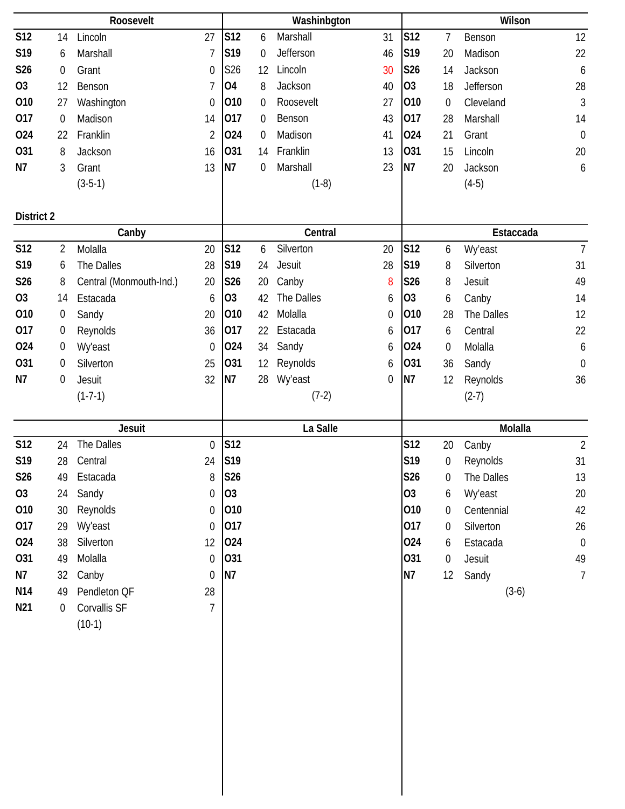|            |                  | Roosevelt               |                  |                |                  | Washinbgton |    |                |                  | Wilson     |                  |
|------------|------------------|-------------------------|------------------|----------------|------------------|-------------|----|----------------|------------------|------------|------------------|
| <b>S12</b> | 14               | Lincoln                 | 27               | S12            | 6                | Marshall    | 31 | S12            | 7                | Benson     | 12               |
| S19        | 6                | Marshall                | 7                | S19            | $\mathbf 0$      | Jefferson   | 46 | S19            | 20               | Madison    | 22               |
| S26        | $\boldsymbol{0}$ | Grant                   | $\boldsymbol{0}$ | S26            | 12               | Lincoln     | 30 | S26            | 14               | Jackson    | $\boldsymbol{6}$ |
| <b>O3</b>  | 12               | Benson                  | 7                | <b>04</b>      | 8                | Jackson     | 40 | O <sub>3</sub> | 18               | Jefferson  | 28               |
| 010        | 27               | Washington              | $\boldsymbol{0}$ | 010            | $\mathbf 0$      | Roosevelt   | 27 | 010            | $\boldsymbol{0}$ | Cleveland  | $\sqrt{3}$       |
| 017        | $\mathbf 0$      | Madison                 | 14               | 017            | $\mathbf 0$      | Benson      | 43 | 017            | 28               | Marshall   | 14               |
| 024        | 22               | Franklin                | $\overline{2}$   | 024            | $\boldsymbol{0}$ | Madison     | 41 | 024            | 21               | Grant      | $\boldsymbol{0}$ |
| 031        | 8                | Jackson                 | 16               | 031            | 14               | Franklin    | 13 | 031            | 15               | Lincoln    | 20               |
| N7         | 3                | Grant                   | 13               | N7             | $\boldsymbol{0}$ | Marshall    | 23 | N7             | 20               | Jackson    | 6                |
|            |                  | $(3-5-1)$               |                  |                |                  | $(1-8)$     |    |                |                  | $(4-5)$    |                  |
|            |                  |                         |                  |                |                  |             |    |                |                  |            |                  |
| District 2 |                  |                         |                  |                |                  |             |    |                |                  |            |                  |
|            |                  | Canby                   |                  |                |                  | Central     |    |                |                  | Estaccada  |                  |
| <b>S12</b> | 2                | Molalla                 | 20               | <b>S12</b>     | 6                | Silverton   | 20 | <b>S12</b>     | 6                | Wy'east    | $\overline{7}$   |
| S19        | 6                | The Dalles              | 28               | S19            | 24               | Jesuit      | 28 | S19            | 8                | Silverton  | 31               |
| S26        | 8                | Central (Monmouth-Ind.) | 20               | S26            | 20               | Canby       | 8  | S26            | 8                | Jesuit     | 49               |
| <b>O3</b>  | 14               | Estacada                | 6                | O <sub>3</sub> | 42               | The Dalles  | 6  | O <sub>3</sub> | 6                | Canby      | 14               |
| 010        | 0                | Sandy                   | 20               | 010            | 42               | Molalla     | 0  | 010            | 28               | The Dalles | 12               |
| 017        | $\boldsymbol{0}$ | Reynolds                | 36               | 017            | 22               | Estacada    | 6  | 017            | 6                | Central    | 22               |
| 024        | 0                | <b>Wy'east</b>          | $\boldsymbol{0}$ | 024            | 34               | Sandy       | 6  | 024            | $\boldsymbol{0}$ | Molalla    | 6                |
| 031        | 0                | Silverton               | 25               | 031            | 12               | Reynolds    | 6  | 031            | 36               | Sandy      | $\theta$         |
| N7         | $\mathbf 0$      | Jesuit                  | 32               | N7             | 28               | Wy'east     | 0  | N7             | 12               | Reynolds   | 36               |
|            |                  | $(1-7-1)$               |                  |                |                  | $(7-2)$     |    |                |                  | $(2-7)$    |                  |
|            |                  |                         |                  |                |                  |             |    |                |                  |            |                  |
|            |                  |                         |                  |                |                  |             |    |                |                  |            |                  |
|            |                  | Jesuit                  |                  |                |                  | La Salle    |    |                |                  | Molalla    |                  |
| <b>S12</b> | 24               | The Dalles              | $\boldsymbol{0}$ | <b>S12</b>     |                  |             |    | <b>S12</b>     | 20               | Canby      | $\overline{2}$   |
| S19        | 28               | Central                 | 24               | S19            |                  |             |    | S19            | $\boldsymbol{0}$ | Reynolds   | 31               |
| S26        | 49               | Estacada                | 8                | <b>S26</b>     |                  |             |    | <b>S26</b>     | 0                | The Dalles | 13               |
| 03         | 24               | Sandy                   | 0                | O <sub>3</sub> |                  |             |    | <b>O3</b>      | 6                | Wy'east    | 20               |
| 010        | 30               | Reynolds                | 0                | 010            |                  |             |    | 010            | 0                | Centennial | 42               |
| 017        | 29               | Wy'east                 | $\boldsymbol{0}$ | 017            |                  |             |    | 017            | 0                | Silverton  | 26               |
| 024        | 38               | Silverton               | 12               | 024            |                  |             |    | 024            | 6                | Estacada   | $\boldsymbol{0}$ |
| 031        | 49               | Molalla                 | $\boldsymbol{0}$ | 031            |                  |             |    | 031            | $\boldsymbol{0}$ | Jesuit     | 49               |
| N7         | 32               | Canby                   | $\boldsymbol{0}$ | N7             |                  |             |    | N <sub>7</sub> | 12               | Sandy      | $\overline{7}$   |
| N14        | 49               | Pendleton QF            | 28               |                |                  |             |    |                |                  | $(3-6)$    |                  |
| N21        | $\mathbf 0$      | Corvallis SF            | 7                |                |                  |             |    |                |                  |            |                  |
|            |                  | $(10-1)$                |                  |                |                  |             |    |                |                  |            |                  |
|            |                  |                         |                  |                |                  |             |    |                |                  |            |                  |
|            |                  |                         |                  |                |                  |             |    |                |                  |            |                  |
|            |                  |                         |                  |                |                  |             |    |                |                  |            |                  |
|            |                  |                         |                  |                |                  |             |    |                |                  |            |                  |
|            |                  |                         |                  |                |                  |             |    |                |                  |            |                  |
|            |                  |                         |                  |                |                  |             |    |                |                  |            |                  |
|            |                  |                         |                  |                |                  |             |    |                |                  |            |                  |
|            |                  |                         |                  |                |                  |             |    |                |                  |            |                  |
|            |                  |                         |                  |                |                  |             |    |                |                  |            |                  |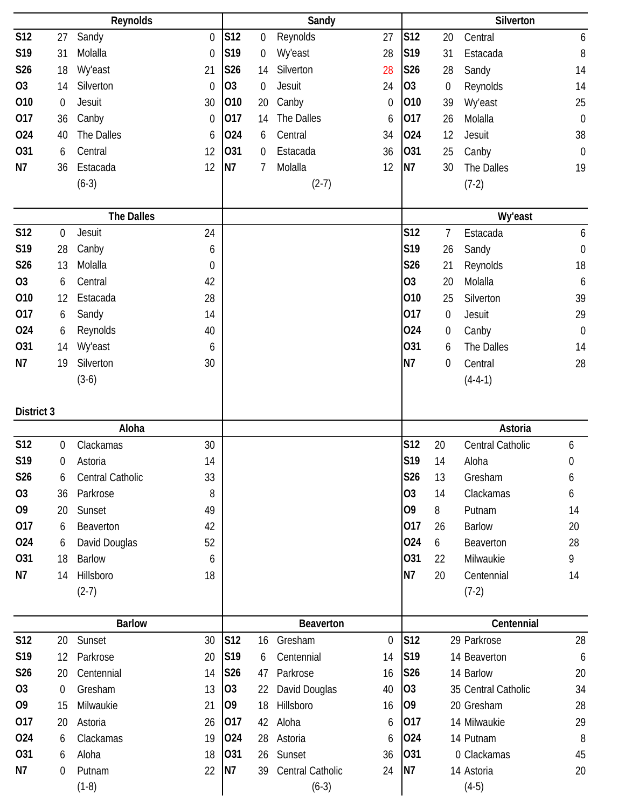|                 |                  | Reynolds          |                  |                 |             | Sandy                       |             |                |                  | Silverton             |                  |
|-----------------|------------------|-------------------|------------------|-----------------|-------------|-----------------------------|-------------|----------------|------------------|-----------------------|------------------|
| <b>S12</b>      | 27               | Sandy             | $\mathbf 0$      | S12             | 0           | Reynolds                    | 27          | S12            | 20               | Central               | 6                |
| S19             | 31               | Molalla           | $\boldsymbol{0}$ | S <sub>19</sub> | 0           | <b>Wy'east</b>              | 28          | S19            | 31               | Estacada              | $8\,$            |
| S26             | 18               | Wy'east           | 21               | <b>S26</b>      | 14          | Silverton                   | 28          | S26            | 28               | Sandy                 | 14               |
| <b>O3</b>       | 14               | Silverton         | $\mathbf 0$      | O <sub>3</sub>  | $\mathbf 0$ | Jesuit                      | 24          | <b>O3</b>      | $\boldsymbol{0}$ | Reynolds              | 14               |
| 010             | $\mathbf 0$      | Jesuit            | 30               | 010             | 20          | Canby                       | $\mathbf 0$ | 010            | 39               | Wy'east               | 25               |
| 017             | 36               | Canby             | 0                | 017             | 14          | The Dalles                  | 6           | 017            | 26               | Molalla               | $\boldsymbol{0}$ |
| 024             | 40               | The Dalles        | 6                | 024             | 6           | Central                     | 34          | 024            | 12               | Jesuit                | 38               |
| 031             | 6                | Central           | 12               | 031             | 0           | Estacada                    | 36          | 031            | 25               | Canby                 | $\mathbf 0$      |
| N7              | 36               | Estacada          | 12               | N7              | 7           | Molalla                     | 12          | N7             | 30               | The Dalles            | 19               |
|                 |                  | $(6-3)$           |                  |                 |             | $(2-7)$                     |             |                |                  | $(7-2)$               |                  |
|                 |                  |                   |                  |                 |             |                             |             |                |                  |                       |                  |
|                 |                  | <b>The Dalles</b> |                  |                 |             |                             |             |                |                  | Wy'east               |                  |
| <b>S12</b>      | $\boldsymbol{0}$ | Jesuit            | 24               |                 |             |                             |             | <b>S12</b>     | 7                | Estacada              | 6                |
| S19             | 28               | Canby             | 6                |                 |             |                             |             | S19            | 26               | Sandy                 | $\boldsymbol{0}$ |
| S <sub>26</sub> | 13               | Molalla           | $\boldsymbol{0}$ |                 |             |                             |             | S26            | 21               | Reynolds              | 18               |
| O <sub>3</sub>  | 6                | Central           | 42               |                 |             |                             |             | 03             | 20               | Molalla               | 6                |
| 010             | 12               | Estacada          | 28               |                 |             |                             |             | 010            | 25               | Silverton             | 39               |
| 017             | 6                | Sandy             | 14               |                 |             |                             |             | 017            | $\boldsymbol{0}$ | Jesuit                | 29               |
| 024             | 6                | Reynolds          | 40               |                 |             |                             |             | 024            | $\boldsymbol{0}$ | Canby                 | $\boldsymbol{0}$ |
| 031             | 14               | <b>Wy'east</b>    | 6                |                 |             |                             |             | 031            | 6                | The Dalles            | 14               |
| N7              | 19               | Silverton         | 30               |                 |             |                             |             | N7             | $\mathbf 0$      | Central               | 28               |
|                 |                  | $(3-6)$           |                  |                 |             |                             |             |                |                  | $(4-4-1)$             |                  |
|                 |                  |                   |                  |                 |             |                             |             |                |                  |                       |                  |
| District 3      |                  |                   |                  |                 |             |                             |             |                |                  |                       |                  |
|                 |                  | Aloha             |                  |                 |             |                             |             |                |                  | Astoria               |                  |
| <b>S12</b>      | $\mathbf 0$      | Clackamas         | 30               |                 |             |                             |             | S12            | 20               | Central Catholic      | 6                |
| S19             | 0                | Astoria           | 14               |                 |             |                             |             | S19            | 14               | Aloha                 | $\boldsymbol{0}$ |
| S26             | 6                | Central Catholic  | 33               |                 |             |                             |             | S26            | 13               | Gresham               | 6                |
| 03              | 36               | Parkrose          | 8                |                 |             |                             |             | O <sub>3</sub> | 14               | Clackamas             | 6                |
| O <sub>9</sub>  | 20               | Sunset            | 49               |                 |             |                             |             | O <sub>9</sub> | 8                | Putnam                | 14               |
| 017             | 6                | Beaverton         | 42               |                 |             |                             |             | 017            | 26               | <b>Barlow</b>         | 20               |
| 024             | 6                | David Douglas     | 52               |                 |             |                             |             | 024            | 6                | Beaverton             | 28               |
| 031             | 18               | <b>Barlow</b>     | 6                |                 |             |                             |             | 031            | 22               | Milwaukie             | 9                |
| N7              | 14               | Hillsboro         | 18               |                 |             |                             |             | N7             | 20               | Centennial            | 14               |
|                 |                  | $(2-7)$           |                  |                 |             |                             |             |                |                  | $(7-2)$               |                  |
|                 |                  |                   |                  |                 |             |                             |             |                |                  |                       |                  |
|                 |                  | <b>Barlow</b>     |                  |                 |             | Beaverton                   |             |                |                  | Centennial            |                  |
| <b>S12</b>      | 20               | Sunset            | 30               | S12             | 16          | Gresham                     | $\mathbf 0$ | S12            |                  | 29 Parkrose           | 28               |
| S19             |                  |                   |                  |                 |             |                             |             |                |                  |                       | 6                |
|                 | 12               | Parkrose          | 20               | S <sub>19</sub> | 6           | Centennial                  | 14          | S19            |                  | 14 Beaverton          |                  |
| S26             | 20               | Centennial        | 14               | S26             | 47          | Parkrose                    | 16          | S26            |                  | 14 Barlow             | 20               |
| <b>O3</b>       | $\boldsymbol{0}$ | Gresham           | 13               | 03              | 22          | David Douglas               | 40          | O <sub>3</sub> |                  | 35 Central Catholic   | 34               |
| O <sub>9</sub>  | 15               | Milwaukie         | 21               | O <sub>9</sub>  | 18          | Hillsboro                   | 16          | O <sub>9</sub> |                  | 20 Gresham            | 28               |
| 017             | 20               | Astoria           | 26               | 017             | 42          | Aloha                       | 6           | 017            |                  | 14 Milwaukie          | 29               |
| 024             | 6                | Clackamas         | 19               | 024             | 28          | Astoria                     | 6           | 024            |                  | 14 Putnam             | 8                |
| 031             | 6                | Aloha             | 18               | 031             | 26          | Sunset                      | 36          | 031            |                  | 0 Clackamas           | 45               |
| N7              | 0                | Putnam<br>$(1-8)$ | 22               | N7              | 39          | Central Catholic<br>$(6-3)$ | 24          | N7             |                  | 14 Astoria<br>$(4-5)$ | 20               |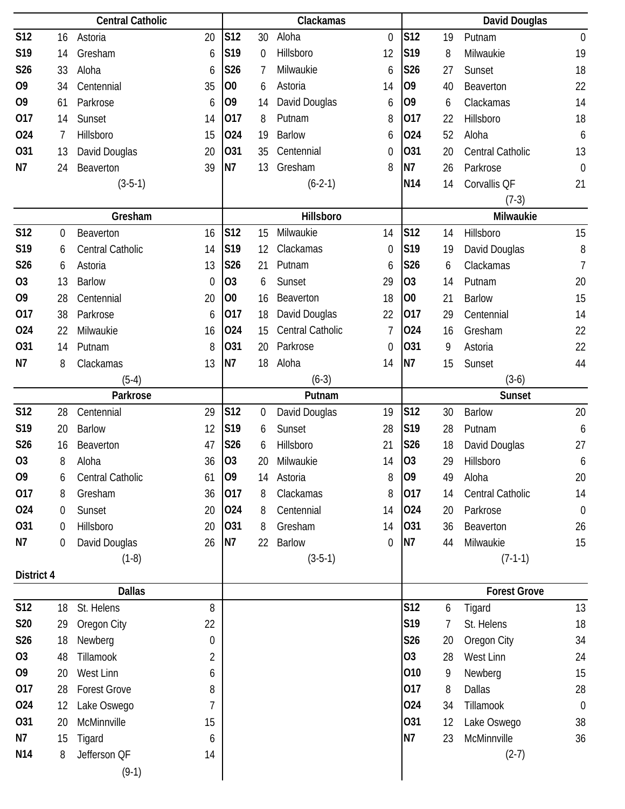|                 |                  | <b>Central Catholic</b> |             |                 |                  | Clackamas        |                |                |    | David Douglas       |                  |
|-----------------|------------------|-------------------------|-------------|-----------------|------------------|------------------|----------------|----------------|----|---------------------|------------------|
| <b>S12</b>      | 16               | Astoria                 | 20          | S12             | 30               | Aloha            | $\mathbf 0$    | <b>S12</b>     | 19 | Putnam              | $\boldsymbol{0}$ |
| S19             | 14               | Gresham                 | 6           | S19             | $\mathbf 0$      | Hillsboro        | 12             | S19            | 8  | Milwaukie           | 19               |
| S26             | 33               | Aloha                   | 6           | S26             | 7                | Milwaukie        | 6              | S26            | 27 | Sunset              | 18               |
| O <sub>9</sub>  | 34               | Centennial              | 35          | O <sub>0</sub>  | 6                | Astoria          | 14             | O <sub>9</sub> | 40 | Beaverton           | 22               |
| O <sub>9</sub>  | 61               | Parkrose                | 6           | O <sub>9</sub>  | 14               | David Douglas    | 6              | O <sub>9</sub> | 6  | Clackamas           | 14               |
| 017             | 14               | Sunset                  | 14          | 017             | 8                | Putnam           | 8              | 017            | 22 | Hillsboro           | 18               |
| 024             | 7                | Hillsboro               | 15          | 024             | 19               | <b>Barlow</b>    | 6              | 024            | 52 | Aloha               | 6                |
| <b>O31</b>      | 13               | David Douglas           | 20          | 031             | 35               | Centennial       | 0              | 031            | 20 | Central Catholic    | 13               |
| N7              | 24               | Beaverton               | 39          | N7              | 13               | Gresham          | 8              | N7             | 26 | Parkrose            | $\mathbf 0$      |
|                 |                  | $(3-5-1)$               |             |                 |                  | $(6-2-1)$        |                | N14            | 14 | Corvallis QF        | 21               |
|                 |                  |                         |             |                 |                  |                  |                |                |    | $(7-3)$             |                  |
|                 |                  | Gresham                 |             |                 |                  | Hillsboro        |                |                |    | Milwaukie           |                  |
| <b>S12</b>      | $\boldsymbol{0}$ | Beaverton               | 16          | S <sub>12</sub> | 15               | Milwaukie        | 14             | <b>S12</b>     | 14 | Hillsboro           | 15               |
| S19             | 6                | Central Catholic        | 14          | S19             | 12               | Clackamas        | $\mathbf 0$    | S19            | 19 | David Douglas       | 8                |
| S26             | 6                | Astoria                 | 13          | S26             | 21               | Putnam           | 6              | S26            | 6  | Clackamas           | $\overline{1}$   |
| <b>O3</b>       | 13               | <b>Barlow</b>           | $\mathbf 0$ | O <sub>3</sub>  | 6                | Sunset           | 29             | <b>O3</b>      | 14 | Putnam              | 20               |
| O <sub>9</sub>  | 28               | Centennial              | 20          | 00              | 16               | Beaverton        | 18             | O <sub>0</sub> | 21 | <b>Barlow</b>       | 15               |
| 017             | 38               | Parkrose                | 6           | 017             | 18               | David Douglas    | 22             | 017            | 29 | Centennial          | 14               |
| 024             | 22               | Milwaukie               | 16          | 024             | 15               | Central Catholic | $\overline{7}$ | 024            | 16 | Gresham             | 22               |
| <b>O31</b>      | 14               | Putnam                  | 8           | 031             | 20               | Parkrose         | $\mathbf 0$    | 031            | 9  | Astoria             | 22               |
| N7              | 8                | Clackamas               | 13          | N7              | 18               | Aloha            | 14             | N7             | 15 | Sunset              | 44               |
|                 |                  | $(5-4)$                 |             |                 |                  | $(6-3)$          |                |                |    | $(3-6)$             |                  |
|                 |                  | Parkrose                |             |                 |                  | Putnam           |                |                |    | <b>Sunset</b>       |                  |
| <b>S12</b>      | 28               | Centennial              | 29          | S12             | $\boldsymbol{0}$ | David Douglas    | 19             | <b>S12</b>     | 30 | <b>Barlow</b>       | 20               |
| S19             | 20               | <b>Barlow</b>           | 12          | S19             | 6                | Sunset           | 28             | S19            | 28 | Putnam              | 6                |
| S26             | 16               | Beaverton               | 47          | S26             | 6                | Hillsboro        | 21             | S26            | 18 | David Douglas       | 27               |
| O <sub>3</sub>  | 8                | Aloha                   | 36          | O <sub>3</sub>  | 20               | Milwaukie        | 14             | O <sub>3</sub> | 29 | Hillsboro           | 6                |
| O <sub>9</sub>  | 6                | Central Catholic        | 61          | O <sub>9</sub>  | 14               | Astoria          | 8              | O <sub>9</sub> | 49 | Aloha               | 20               |
| 017             | 8                | Gresham                 | 36          | 017             | 8                | Clackamas        | 8              | 017            | 14 | Central Catholic    | 14               |
| 024             | 0                | Sunset                  | 20          | 024             | 8                | Centennial       | 14             | 024            | 20 | Parkrose            | $\mathbf 0$      |
| 031             | 0                | Hillsboro               | 20          | 031             | 8                | Gresham          | 14             | 031            | 36 | Beaverton           | 26               |
| N7              | 0                | David Douglas           | 26          | <b>N7</b>       | 22               | <b>Barlow</b>    | $\theta$       | N7             | 44 | Milwaukie           | 15               |
|                 |                  | $(1-8)$                 |             |                 |                  | $(3-5-1)$        |                |                |    | $(7-1-1)$           |                  |
| District 4      |                  | <b>Dallas</b>           |             |                 |                  |                  |                |                |    | <b>Forest Grove</b> |                  |
| <b>S12</b>      | 18               | St. Helens              | 8           |                 |                  |                  |                | <b>S12</b>     | 6  | Tigard              | 13               |
| <b>S20</b>      | 29               | Oregon City             | 22          |                 |                  |                  |                | S19            | 7  | St. Helens          | 18               |
| S26             | 18               | Newberg                 | 0           |                 |                  |                  |                | S26            | 20 | Oregon City         | 34               |
| <b>O3</b>       | 48               | Tillamook               | 2           |                 |                  |                  |                | <b>O3</b>      | 28 | West Linn           | 24               |
| O <sub>9</sub>  | 20               | West Linn               | 6           |                 |                  |                  |                | 010            | 9  | Newberg             | 15               |
| 017             | 28               | <b>Forest Grove</b>     | 8           |                 |                  |                  |                | 017            | 8  | <b>Dallas</b>       | 28               |
| 024             | 12               | Lake Oswego             | 7           |                 |                  |                  |                | 024            | 34 | Tillamook           | $\boldsymbol{0}$ |
| 031             | 20               | McMinnville             | 15          |                 |                  |                  |                | 031            | 12 | Lake Oswego         | 38               |
| N7              | 15               |                         | 6           |                 |                  |                  |                | N7             | 23 | McMinnville         | 36               |
| N <sub>14</sub> | 8                | Tigard<br>Jefferson QF  | 14          |                 |                  |                  |                |                |    | $(2-7)$             |                  |
|                 |                  |                         |             |                 |                  |                  |                |                |    |                     |                  |
|                 |                  | $(9-1)$                 |             |                 |                  |                  |                |                |    |                     |                  |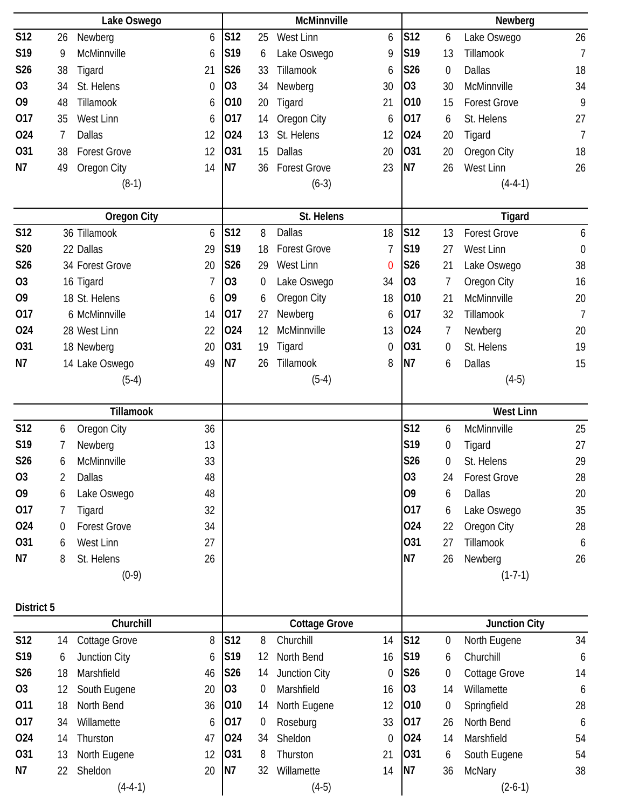|                |    | Lake Oswego         |                  |                 |                  | McMinnville          |                  |                |                  | Newberg              |                  |
|----------------|----|---------------------|------------------|-----------------|------------------|----------------------|------------------|----------------|------------------|----------------------|------------------|
| <b>S12</b>     | 26 | Newberg             | 6                | S12             | 25               | West Linn            | 6                | S12            | 6                | Lake Oswego          | 26               |
| S19            | 9  | McMinnville         | 6                | S19             | 6                | Lake Oswego          | 9                | S19            | 13               | Tillamook            | $\overline{1}$   |
| S26            | 38 | Tigard              | 21               | S26             | 33               | Tillamook            | 6                | <b>S26</b>     | 0                | <b>Dallas</b>        | 18               |
| <b>O3</b>      | 34 | St. Helens          | $\boldsymbol{0}$ | 03              | 34               | Newberg              | 30               | O <sub>3</sub> | 30               | McMinnville          | 34               |
| O <sub>9</sub> | 48 | Tillamook           | 6                | 010             | 20               | Tigard               | 21               | 010            | 15               | <b>Forest Grove</b>  | 9                |
| 017            | 35 | West Linn           | 6                | 017             | 14               | Oregon City          | 6                | 017            | 6                | St. Helens           | 27               |
| 024            | 7  | Dallas              | 12               | 024             | 13               | St. Helens           | 12               | 024            | 20               | Tigard               | $\overline{7}$   |
| 031            | 38 | <b>Forest Grove</b> | 12               | 031             | 15               | <b>Dallas</b>        | 20               | 031            | 20               | Oregon City          | 18               |
| N7             | 49 | Oregon City         | 14               | N7              | 36               | <b>Forest Grove</b>  | 23               | N7             | 26               | West Linn            | 26               |
|                |    | $(8-1)$             |                  |                 |                  | $(6-3)$              |                  |                |                  | $(4-4-1)$            |                  |
|                |    |                     |                  |                 |                  |                      |                  |                |                  |                      |                  |
|                |    | <b>Oregon City</b>  |                  |                 |                  | St. Helens           |                  |                |                  | Tigard               |                  |
| <b>S12</b>     |    | 36 Tillamook        | 6                | S12             | 8                | <b>Dallas</b>        | 18               | S12            | 13               | <b>Forest Grove</b>  | 6                |
| <b>S20</b>     |    | 22 Dallas           | 29               | S19             | 18               | <b>Forest Grove</b>  | 7                | S19            | 27               | West Linn            | $\boldsymbol{0}$ |
| S26            |    | 34 Forest Grove     | 20               | S26             | 29               | West Linn            | $\overline{0}$   | S26            | 21               | Lake Oswego          | 38               |
| O <sub>3</sub> |    | 16 Tigard           | 7                | 03              | 0                | Lake Oswego          | 34               | O <sub>3</sub> | 7                | Oregon City          | 16               |
| O <sub>9</sub> |    | 18 St. Helens       | 6                | O <sub>9</sub>  | 6                | Oregon City          | 18               | 010            | 21               | McMinnville          | 20               |
| 017            |    | 6 McMinnville       | 14               | 017             | 27               | Newberg              | 6                | 017            | 32               | Tillamook            | $\overline{7}$   |
| 024            |    | 28 West Linn        | 22               | 024             | 12               | McMinnville          | 13               | 024            | 7                | Newberg              | 20               |
| 031            |    | 18 Newberg          | 20               | 031             | 19               | Tigard               | 0                | 031            | $\boldsymbol{0}$ | St. Helens           | 19               |
| N7             |    | 14 Lake Oswego      | 49               | N7              | 26               | Tillamook            | 8                | N7             | 6                | Dallas               | 15               |
|                |    | $(5-4)$             |                  |                 |                  | $(5-4)$              |                  |                |                  | $(4-5)$              |                  |
|                |    |                     |                  |                 |                  |                      |                  |                |                  |                      |                  |
|                |    | Tillamook           |                  |                 |                  |                      |                  |                |                  | <b>West Linn</b>     |                  |
| <b>S12</b>     | 6  | Oregon City         | 36               |                 |                  |                      |                  | S12            | 6                | McMinnville          | 25               |
| S19            | 7  | Newberg             | 13               |                 |                  |                      |                  | S19            | $\boldsymbol{0}$ | Tigard               | 27               |
| S26            | 6  | McMinnville         | 33               |                 |                  |                      |                  | S26            | 0                | St. Helens           | 29               |
| <b>O3</b>      | 2  | <b>Dallas</b>       | 48               |                 |                  |                      |                  | 03             | 24               | <b>Forest Grove</b>  | 28               |
| O <sub>9</sub> | 6  | Lake Oswego         | 48               |                 |                  |                      |                  | O <sub>9</sub> | 6                | <b>Dallas</b>        | 20               |
| 017            | 7  | Tigard              | 32               |                 |                  |                      |                  | 017            | 6                | Lake Oswego          | 35               |
| 024            | 0  | <b>Forest Grove</b> | 34               |                 |                  |                      |                  | 024            | 22               | Oregon City          | 28               |
| 031            | 6  | West Linn           | 27               |                 |                  |                      |                  | 031            | 27               | Tillamook            | $\boldsymbol{6}$ |
| N7             | 8  | St. Helens          | 26               |                 |                  |                      |                  | <b>N7</b>      | 26               | Newberg              | 26               |
|                |    | $(0-9)$             |                  |                 |                  |                      |                  |                |                  | $(1-7-1)$            |                  |
|                |    |                     |                  |                 |                  |                      |                  |                |                  |                      |                  |
| District 5     |    |                     |                  |                 |                  |                      |                  |                |                  |                      |                  |
|                |    | Churchill           |                  |                 |                  | <b>Cottage Grove</b> |                  |                |                  | <b>Junction City</b> |                  |
| <b>S12</b>     | 14 | Cottage Grove       | 8                | S12             | 8                | Churchill            | 14               | S12            | 0                | North Eugene         | 34               |
| S19            | 6  | Junction City       | 6                | S <sub>19</sub> | 12               | North Bend           | 16               | S19            | 6                | Churchill            | 6                |
| S26            | 18 | Marshfield          | 46               | S26             | 14               | Junction City        | $\boldsymbol{0}$ | S26            | 0                | Cottage Grove        | 14               |
| 03             | 12 | South Eugene        | 20               | O <sub>3</sub>  | $\boldsymbol{0}$ | Marshfield           | 16               | 03             | 14               | Willamette           | 6                |
| 011            | 18 | North Bend          | 36               | 010             | 14               | North Eugene         | 12               | 010            | $\boldsymbol{0}$ | Springfield          | 28               |
| 017            | 34 | Willamette          | 6                | 017             | $\boldsymbol{0}$ | Roseburg             | 33               | 017            | 26               | North Bend           | $\boldsymbol{6}$ |
| 024            | 14 | Thurston            | 47               | 024             | 34               | Sheldon              | $\boldsymbol{0}$ | 024            | 14               | Marshfield           | 54               |
| 031            | 13 | North Eugene        | 12               | 031             | 8                | Thurston             | 21               | 031            | 6                | South Eugene         | 54               |
| N7             | 22 | Sheldon             | 20               | N7              | 32               | Willamette           | 14               | N <sub>7</sub> | 36               | McNary               | 38               |
|                |    | $(4-4-1)$           |                  |                 |                  | $(4-5)$              |                  |                |                  | $(2-6-1)$            |                  |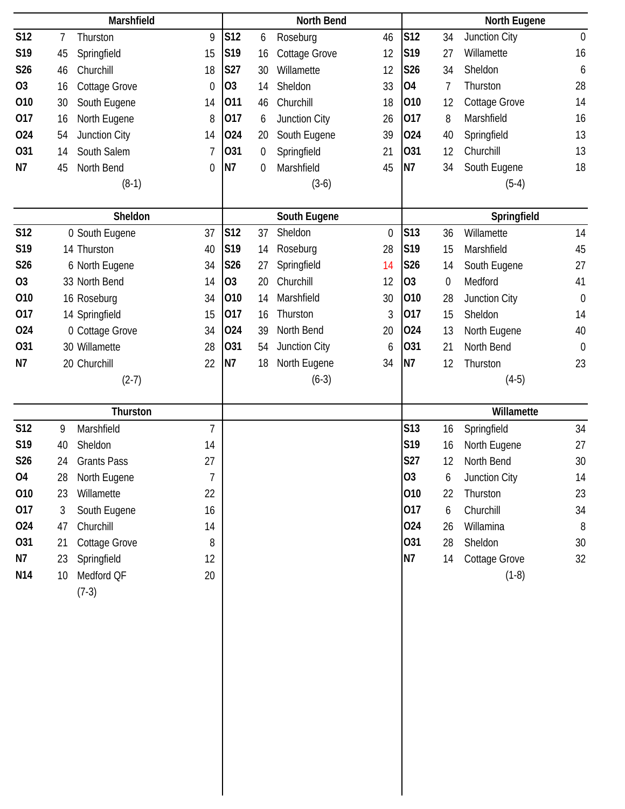|                 | Marshfield                 |                  |                 |    | <b>North Bend</b>    |             |                |                  | North Eugene  |                  |
|-----------------|----------------------------|------------------|-----------------|----|----------------------|-------------|----------------|------------------|---------------|------------------|
| <b>S12</b>      | $\overline{7}$<br>Thurston | 9                | S <sub>12</sub> | 6  | Roseburg             | 46          | <b>S12</b>     | 34               | Junction City | $\boldsymbol{0}$ |
| S19             | 45<br>Springfield          | 15               | S19             | 16 | <b>Cottage Grove</b> | 12          | S19            | 27               | Willamette    | 16               |
| S26             | Churchill<br>46            | 18               | S27             | 30 | Willamette           | 12          | <b>S26</b>     | 34               | Sheldon       | 6                |
| O <sub>3</sub>  | Cottage Grove<br>16        | $\boldsymbol{0}$ | O <sub>3</sub>  | 14 | Sheldon              | 33          | 04             | $\overline{1}$   | Thurston      | 28               |
| 010             | South Eugene<br>30         | 14               | 011             | 46 | Churchill            | 18          | 010            | 12               | Cottage Grove | 14               |
| 017             | North Eugene<br>16         | 8                | 017             | 6  | Junction City        | 26          | 017            | 8                | Marshfield    | 16               |
| 024             | 54<br>Junction City        | 14               | 024             | 20 | South Eugene         | 39          | 024            | 40               | Springfield   | 13               |
| 031             | South Salem<br>14          | 7                | 031             | 0  | Springfield          | 21          | 031            | 12               | Churchill     | 13               |
| N7              | 45<br>North Bend           | 0                | N7              | 0  | Marshfield           | 45          | N7             | 34               | South Eugene  | 18               |
|                 | $(8-1)$                    |                  |                 |    | $(3-6)$              |             |                |                  | $(5-4)$       |                  |
|                 | Sheldon                    |                  |                 |    | South Eugene         |             |                |                  | Springfield   |                  |
| <b>S12</b>      | 0 South Eugene             | 37               | S12             | 37 | Sheldon              | $\mathbf 0$ | S13            | 36               | Willamette    | 14               |
| S19             | 14 Thurston                | 40               | S19             | 14 | Roseburg             | 28          | S19            | 15               | Marshfield    | 45               |
| S26             | 6 North Eugene             | 34               | S26             | 27 | Springfield          | 14          | S26            | 14               | South Eugene  | 27               |
| O <sub>3</sub>  | 33 North Bend              | 14               | O <sub>3</sub>  | 20 | Churchill            | 12          | <b>O3</b>      | $\boldsymbol{0}$ | Medford       | 41               |
| 010             | 16 Roseburg                | 34               | 010             | 14 | Marshfield           | 30          | 010            | 28               | Junction City | $\boldsymbol{0}$ |
| 017             | 14 Springfield             | 15               | 017             | 16 | Thurston             | 3           | 017            | 15               | Sheldon       | 14               |
| 024             | 0 Cottage Grove            | 34               | 024             | 39 | North Bend           | 20          | 024            | 13               | North Eugene  | 40               |
| 031             | 30 Willamette              | 28               | 031             | 54 | Junction City        | 6           | 031            | 21               | North Bend    | $\boldsymbol{0}$ |
| N7              | 20 Churchill               | 22               | N7              | 18 | North Eugene         | 34          | N7             | 12               | Thurston      | 23               |
|                 | $(2-7)$                    |                  |                 |    | $(6-3)$              |             |                |                  | $(4-5)$       |                  |
|                 | Thurston                   |                  |                 |    |                      |             |                |                  | Willamette    |                  |
| <b>S12</b>      | Marshfield<br>9            | $\overline{1}$   |                 |    |                      |             | <b>S13</b>     | 16               | Springfield   | 34               |
| S19             | Sheldon<br>40              | 14               |                 |    |                      |             | S19            | 16               | North Eugene  | 27               |
| S26             | 24<br><b>Grants Pass</b>   | 27               |                 |    |                      |             | S27            | 12               | North Bend    | 30               |
| O <sub>4</sub>  | North Eugene<br>28         | 7                |                 |    |                      |             | O <sub>3</sub> | 6                | Junction City | 14               |
| 010             | Willamette<br>23           | 22               |                 |    |                      |             | 010            | 22               | Thurston      | 23               |
| 017             | 3<br>South Eugene          | 16               |                 |    |                      |             | 017            | 6                | Churchill     | 34               |
| 024             | Churchill<br>47            | 14               |                 |    |                      |             | 024            | 26               | Willamina     | $8\,$            |
| 031             | Cottage Grove<br>21        | 8                |                 |    |                      |             | 031            | 28               | Sheldon       | 30               |
| N7              | Springfield<br>23          | 12               |                 |    |                      |             | <b>N7</b>      | 14               | Cottage Grove | 32               |
| N <sub>14</sub> | Medford QF<br>10           | 20               |                 |    |                      |             |                |                  | $(1-8)$       |                  |
|                 | $(7-3)$                    |                  |                 |    |                      |             |                |                  |               |                  |
|                 |                            |                  |                 |    |                      |             |                |                  |               |                  |
|                 |                            |                  |                 |    |                      |             |                |                  |               |                  |
|                 |                            |                  |                 |    |                      |             |                |                  |               |                  |
|                 |                            |                  |                 |    |                      |             |                |                  |               |                  |
|                 |                            |                  |                 |    |                      |             |                |                  |               |                  |
|                 |                            |                  |                 |    |                      |             |                |                  |               |                  |
|                 |                            |                  |                 |    |                      |             |                |                  |               |                  |
|                 |                            |                  |                 |    |                      |             |                |                  |               |                  |
|                 |                            |                  |                 |    |                      |             |                |                  |               |                  |
|                 |                            |                  |                 |    |                      |             |                |                  |               |                  |
|                 |                            |                  |                 |    |                      |             |                |                  |               |                  |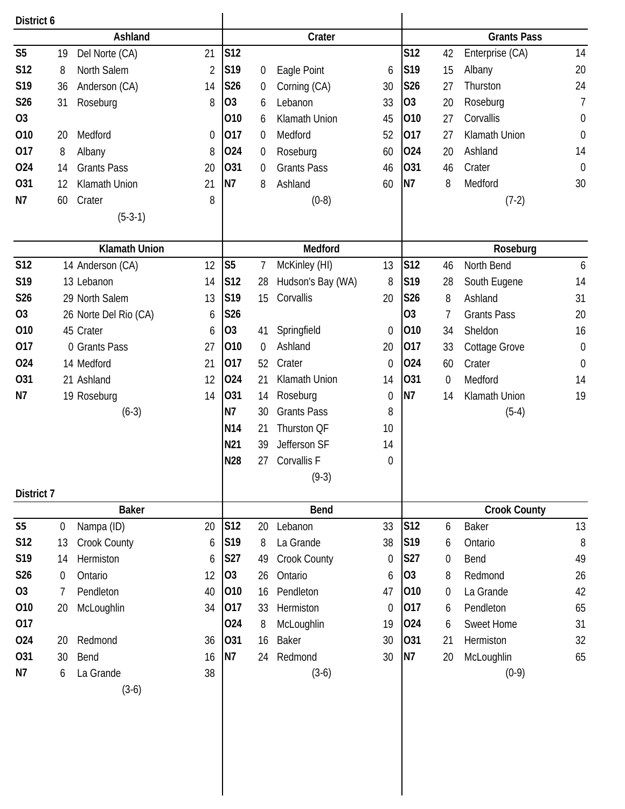| District 6     |                                |    |                 |                  |                    |                  |                |                  |                     |                  |
|----------------|--------------------------------|----|-----------------|------------------|--------------------|------------------|----------------|------------------|---------------------|------------------|
|                | Ashland                        |    |                 |                  | Crater             |                  |                |                  | <b>Grants Pass</b>  |                  |
| S <sub>5</sub> | Del Norte (CA)<br>19           | 21 | S <sub>12</sub> |                  |                    |                  | S12            | 42               | Enterprise (CA)     | 14               |
| S12            | North Salem<br>8               | 2  | S19             | 0                | Eagle Point        | 6                | S19            | 15               | Albany              | 20               |
| S19            | Anderson (CA)<br>36            | 14 | S26             | $\boldsymbol{0}$ | Corning (CA)       | 30               | <b>S26</b>     | 27               | Thurston            | 24               |
| S26            | 31<br>Roseburg                 | 8  | O <sub>3</sub>  | 6                | Lebanon            | 33               | O <sub>3</sub> | 20               | Roseburg            | $\overline{1}$   |
| O <sub>3</sub> |                                |    | 010             | 6                | Klamath Union      | 45               | 010            | 27               | Corvallis           | $\boldsymbol{0}$ |
| 010            | Medford<br>20                  | 0  | 017             | $\mathbf 0$      | Medford            | 52               | 017            | 27               | Klamath Union       | $\mathbf 0$      |
| 017            | 8<br>Albany                    | 8  | 024             | $\boldsymbol{0}$ | Roseburg           | 60               | 024            | 20               | Ashland             | 14               |
| 024            | <b>Grants Pass</b><br>14       | 20 | 031             | $\mathbf 0$      | <b>Grants Pass</b> | 46               | 031            | 46               | Crater              | $\mathbf 0$      |
| 031            | Klamath Union<br>12            | 21 | N7              | 8                | Ashland            | 60               | N7             | 8                | Medford             | 30               |
| N7             | Crater<br>60                   | 8  |                 |                  | $(0-8)$            |                  |                |                  | $(7-2)$             |                  |
|                | $(5-3-1)$                      |    |                 |                  |                    |                  |                |                  |                     |                  |
|                | <b>Klamath Union</b>           |    |                 |                  | Medford            |                  |                |                  | Roseburg            |                  |
| <b>S12</b>     | 14 Anderson (CA)               | 12 | S <sub>5</sub>  | 7                | McKinley (HI)      | 13               | S12            | 46               | North Bend          | 6                |
| S19            | 13 Lebanon                     | 14 | S12             | 28               | Hudson's Bay (WA)  | 8                | S19            | 28               | South Eugene        | 14               |
| S26            | 29 North Salem                 | 13 | S19             | 15               | Corvallis          | 20               | S26            | 8                | Ashland             | 31               |
| O <sub>3</sub> | 26 Norte Del Rio (CA)          | 6  | S26             |                  |                    |                  | 03             | 7                | <b>Grants Pass</b>  | 20               |
| 010            | 45 Crater                      | 6  | O <sub>3</sub>  | 41               | Springfield        | 0                | 010            | 34               | Sheldon             | 16               |
| 017            | 0 Grants Pass                  | 27 | 010             | $\mathbf 0$      | Ashland            | 20               | 017            | 33               | Cottage Grove       | $\boldsymbol{0}$ |
| 024            | 14 Medford                     | 21 | 017             | 52               | Crater             | 0                | 024            | 60               | Crater              | $\mathbf 0$      |
| 031            | 21 Ashland                     | 12 | 024             | 21               | Klamath Union      | 14               | 031            | $\mathbf 0$      | Medford             | 14               |
| N7             | 19 Roseburg                    | 14 | 031             | 14               | Roseburg           | $\boldsymbol{0}$ | N7             | 14               | Klamath Union       | 19               |
|                | $(6-3)$                        |    | N7              | 30               | <b>Grants Pass</b> | 8                |                |                  | $(5-4)$             |                  |
|                |                                |    | N <sub>14</sub> | 21               | Thurston QF        | 10               |                |                  |                     |                  |
|                |                                |    | N21             | 39               | Jefferson SF       | 14               |                |                  |                     |                  |
|                |                                |    | <b>N28</b>      |                  | 27 Corvallis F     | $\boldsymbol{0}$ |                |                  |                     |                  |
| District 7     |                                |    |                 |                  | $(9-3)$            |                  |                |                  |                     |                  |
|                | <b>Baker</b>                   |    |                 |                  | <b>Bend</b>        |                  |                |                  | <b>Crook County</b> |                  |
| <b>S5</b>      | $\boldsymbol{0}$<br>Nampa (ID) | 20 | S12             | 20               | Lebanon            | 33               | <b>S12</b>     | 6                | <b>Baker</b>        | 13               |
| S12            | Crook County<br>13             | 6  | S <sub>19</sub> | 8                | La Grande          | 38               | S19            | 6                | Ontario             | $8\,$            |
| S19            | Hermiston<br>14                | 6  | S27             | 49               | Crook County       | 0                | <b>S27</b>     | $\boldsymbol{0}$ | Bend                | 49               |
| S26            | Ontario<br>$\boldsymbol{0}$    | 12 | 03              | 26               | Ontario            | 6                | O <sub>3</sub> | 8                | Redmond             | 26               |
| 03             | Pendleton<br>7                 | 40 | 010             | 16               | Pendleton          | 47               | 010            | $\boldsymbol{0}$ | La Grande           | 42               |
| 010            | McLoughlin<br>20               | 34 | 017             | 33               | Hermiston          | 0                | 017            | 6                | Pendleton           | 65               |
| 017            |                                |    | 024             | 8                | McLoughlin         | 19               | 024            | 6                | Sweet Home          | 31               |
| 024            | Redmond<br>20                  | 36 | 031             | 16               | Baker              | 30               | 031            | 21               | Hermiston           | 32               |
| 031            | 30<br>Bend                     | 16 | <b>N7</b>       | 24               | Redmond            | 30               | N7             | 20               | McLoughlin          | 65               |
| N7             | La Grande<br>6                 | 38 |                 |                  | $(3-6)$            |                  |                |                  | $(0-9)$             |                  |
|                | $(3-6)$                        |    |                 |                  |                    |                  |                |                  |                     |                  |
|                |                                |    |                 |                  |                    |                  |                |                  |                     |                  |
|                |                                |    |                 |                  |                    |                  |                |                  |                     |                  |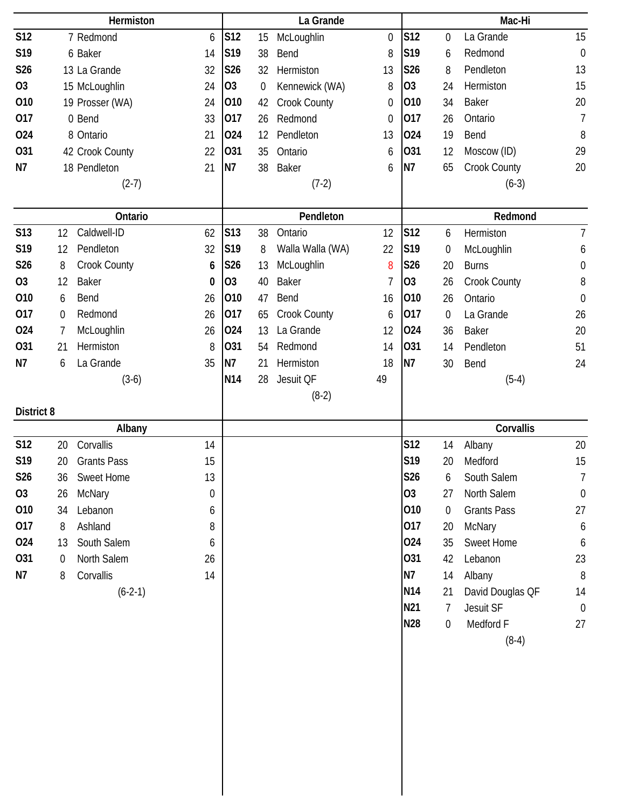|                 |                | Hermiston          |    |                 |                  | La Grande        |                  |                |                  | Mac-Hi             |                  |
|-----------------|----------------|--------------------|----|-----------------|------------------|------------------|------------------|----------------|------------------|--------------------|------------------|
| <b>S12</b>      |                | 7 Redmond          | 6  | S12             | 15               | McLoughlin       | $\mathbf 0$      | <b>S12</b>     | 0                | La Grande          | 15               |
| S19             |                | 6 Baker            | 14 | S <sub>19</sub> | 38               | Bend             | 8                | S19            | 6                | Redmond            | $\mathbf 0$      |
| S26             |                | 13 La Grande       | 32 | S26             | 32               | Hermiston        | 13               | S26            | 8                | Pendleton          | 13               |
| <b>O3</b>       |                | 15 McLoughlin      | 24 | O <sub>3</sub>  | $\boldsymbol{0}$ | Kennewick (WA)   | 8                | O <sub>3</sub> | 24               | Hermiston          | 15               |
| 010             |                | 19 Prosser (WA)    | 24 | 010             | 42               | Crook County     | $\boldsymbol{0}$ | 010            | 34               | <b>Baker</b>       | 20               |
| 017             |                | 0 Bend             | 33 | 017             | 26               | Redmond          | $\mathbf 0$      | 017            | 26               | Ontario            | $\overline{7}$   |
| 024             |                | 8 Ontario          | 21 | 024             | 12               | Pendleton        | 13               | 024            | 19               | Bend               | 8                |
| 031             |                | 42 Crook County    | 22 | 031             | 35               | Ontario          | 6                | 031            | 12               | Moscow (ID)        | 29               |
| <b>N7</b>       |                | 18 Pendleton       | 21 | <b>N7</b>       | 38               | <b>Baker</b>     | 6                | N7             | 65               | Crook County       | 20               |
|                 |                | $(2-7)$            |    |                 |                  | $(7-2)$          |                  |                |                  | $(6-3)$            |                  |
|                 |                | Ontario            |    |                 |                  | Pendleton        |                  |                |                  | Redmond            |                  |
| <b>S13</b>      | 12             | Caldwell-ID        | 62 | S13             | 38               | Ontario          | 12               | <b>S12</b>     | 6                | Hermiston          | $\overline{7}$   |
| S19             | 12             | Pendleton          | 32 | S <sub>19</sub> | 8                | Walla Walla (WA) | 22               | S19            | $\boldsymbol{0}$ | McLoughlin         | 6                |
| S26             | 8              | Crook County       | 6  | S26             | 13               | McLoughlin       | 8                | S26            | 20               | <b>Burns</b>       | $\boldsymbol{0}$ |
| <b>O3</b>       | 12             | Baker              | 0  | 03              | 40               | <b>Baker</b>     | 7                | O <sub>3</sub> | 26               | Crook County       | 8                |
| 010             | 6              | Bend               | 26 | 010             | 47               | Bend             | 16               | 010            | 26               | Ontario            | $\mathbf 0$      |
| 017             | $\mathbf 0$    | Redmond            | 26 | 017             | 65               | Crook County     | 6                | 017            | $\boldsymbol{0}$ | La Grande          | 26               |
| 024             | $\overline{1}$ | McLoughlin         | 26 | 024             | 13               | La Grande        | 12               | 024            | 36               | <b>Baker</b>       | 20               |
| 031             | 21             | Hermiston          | 8  | 031             | 54               | Redmond          | 14               | 031            | 14               | Pendleton          | 51               |
| N7              | 6              | La Grande          | 35 | N7              | 21               | Hermiston        | 18               | N <sub>7</sub> | 30               | Bend               | 24               |
|                 |                | $(3-6)$            |    | N <sub>14</sub> | 28               | Jesuit QF        | 49               |                |                  | $(5-4)$            |                  |
|                 |                |                    |    |                 |                  | $(8-2)$          |                  |                |                  |                    |                  |
| District 8      |                |                    |    |                 |                  |                  |                  |                |                  |                    |                  |
|                 |                | Albany             |    |                 |                  |                  |                  |                |                  | Corvallis          |                  |
| <b>S12</b>      | 20             | Corvallis          | 14 |                 |                  |                  |                  | <b>S12</b>     | 14               | Albany             | 20               |
| S19             | 20             | <b>Grants Pass</b> | 15 |                 |                  |                  |                  | S19            | 20               | Medford            | 15               |
| S <sub>26</sub> | 36             | Sweet Home         | 13 |                 |                  |                  |                  | S26            | 6                | South Salem        | $\overline{7}$   |
| 03              | 26             | McNary             | 0  |                 |                  |                  |                  | O <sub>3</sub> | 27               | North Salem        | $\overline{0}$   |
| 010             | 34             | Lebanon            | 6  |                 |                  |                  |                  | 010            | $\mathbf 0$      | <b>Grants Pass</b> | 27               |
| 017             | 8              | Ashland            | 8  |                 |                  |                  |                  | 017            | 20               | McNary             | 6                |
| 024             | 13             | South Salem        | 6  |                 |                  |                  |                  | 024            | 35               | Sweet Home         | 6                |
| 031             | 0              | North Salem        | 26 |                 |                  |                  |                  | 031            | 42               | Lebanon            | 23               |
| N7              | 8              | Corvallis          | 14 |                 |                  |                  |                  | N7             | 14               | Albany             | $8\,$            |
|                 |                | $(6-2-1)$          |    |                 |                  |                  |                  | N14            | 21               | David Douglas QF   | 14               |
|                 |                |                    |    |                 |                  |                  |                  | N21            | 7                | Jesuit SF          | $\boldsymbol{0}$ |
|                 |                |                    |    |                 |                  |                  |                  | <b>N28</b>     | $\boldsymbol{0}$ | Medford F          | 27               |
|                 |                |                    |    |                 |                  |                  |                  |                |                  | $(8-4)$            |                  |
|                 |                |                    |    |                 |                  |                  |                  |                |                  |                    |                  |
|                 |                |                    |    |                 |                  |                  |                  |                |                  |                    |                  |
|                 |                |                    |    |                 |                  |                  |                  |                |                  |                    |                  |
|                 |                |                    |    |                 |                  |                  |                  |                |                  |                    |                  |
|                 |                |                    |    |                 |                  |                  |                  |                |                  |                    |                  |
|                 |                |                    |    |                 |                  |                  |                  |                |                  |                    |                  |
|                 |                |                    |    |                 |                  |                  |                  |                |                  |                    |                  |
|                 |                |                    |    |                 |                  |                  |                  |                |                  |                    |                  |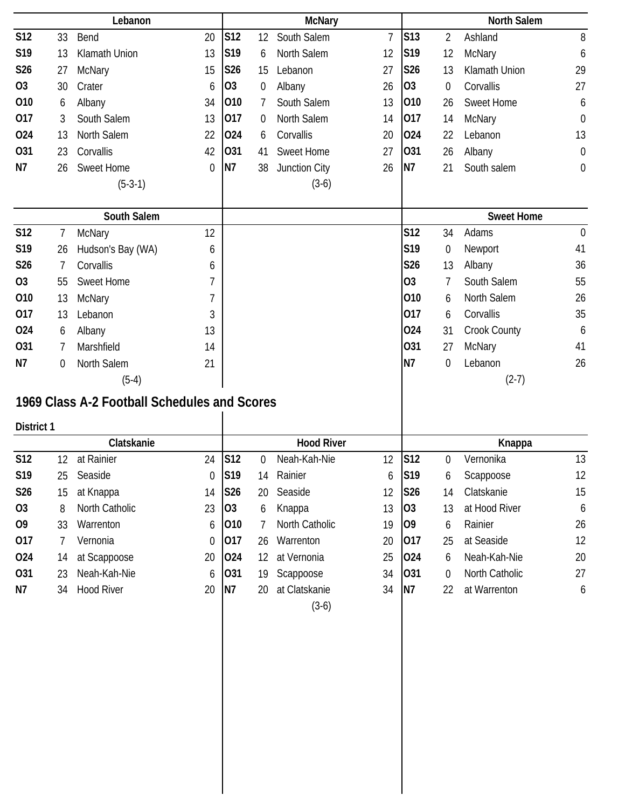|            |                | Lebanon                                      |                  |                 |                  | <b>McNary</b>            |                |                 |             | <b>North Salem</b> |                  |
|------------|----------------|----------------------------------------------|------------------|-----------------|------------------|--------------------------|----------------|-----------------|-------------|--------------------|------------------|
| <b>S12</b> | 33             | Bend                                         | 20               | S12             | 12               | South Salem              | $\overline{7}$ | S <sub>13</sub> | 2           | Ashland            | 8                |
| S19        | 13             | Klamath Union                                | 13               | S <sub>19</sub> | 6                | North Salem              | 12             | S19             | 12          | McNary             | 6                |
| S26        | 27             | McNary                                       | 15               | S26             | 15               | Lebanon                  | 27             | S26             | 13          | Klamath Union      | 29               |
| 03         | 30             | Crater                                       | 6                | O <sub>3</sub>  | 0                | Albany                   | 26             | O <sub>3</sub>  | 0           | Corvallis          | 27               |
| 010        | 6              | Albany                                       | 34               | 010             | 7                | South Salem              | 13             | 010             | 26          | Sweet Home         | 6                |
| 017        | 3              | South Salem                                  | 13               | 017             | 0                | North Salem              | 14             | 017             | 14          | McNary             | $\boldsymbol{0}$ |
| 024        | 13             | North Salem                                  | 22               | 024             | 6                | Corvallis                | 20             | 024             | 22          | Lebanon            | 13               |
| 031        | 23             | Corvallis                                    | 42               | 031             | 41               | <b>Sweet Home</b>        | 27             | 031             | 26          | Albany             | $\boldsymbol{0}$ |
| <b>N7</b>  | 26             | Sweet Home                                   | $\mathbf 0$      | N7              | 38               | Junction City            | 26             | N <sub>7</sub>  | 21          | South salem        | 0                |
|            |                | $(5-3-1)$                                    |                  |                 |                  | $(3-6)$                  |                |                 |             |                    |                  |
|            |                | South Salem                                  |                  |                 |                  |                          |                |                 |             | <b>Sweet Home</b>  |                  |
| <b>S12</b> | 7              | McNary                                       | 12               |                 |                  |                          |                | <b>S12</b>      | 34          | Adams              | $\mathbf 0$      |
| S19        | 26             | Hudson's Bay (WA)                            | 6                |                 |                  |                          |                | S19             | 0           | Newport            | 41               |
| S26        | 7              | Corvallis                                    | 6                |                 |                  |                          |                | S26             | 13          | Albany             | 36               |
| <b>O3</b>  | 55             | Sweet Home                                   | 7                |                 |                  |                          |                | O <sub>3</sub>  | 7           | South Salem        | 55               |
| 010        | 13             | <b>McNary</b>                                | 7                |                 |                  |                          |                | 010             | 6           | North Salem        | 26               |
| 017        | 13             | Lebanon                                      | 3                |                 |                  |                          |                | 017             | 6           | Corvallis          | 35               |
| 024        | 6              | Albany                                       | 13               |                 |                  |                          |                | 024             | 31          | Crook County       | 6                |
| 031        | 7              | Marshfield                                   | 14               |                 |                  |                          |                | 031             | 27          | <b>McNary</b>      | 41               |
| N7         | $\overline{0}$ | North Salem                                  | 21               |                 |                  |                          |                | N7              | $\mathbf 0$ | Lebanon            | 26               |
|            |                | $(5-4)$                                      |                  |                 |                  |                          |                |                 |             | $(2-7)$            |                  |
|            |                | 1969 Class A-2 Football Schedules and Scores |                  |                 |                  |                          |                |                 |             |                    |                  |
| District 1 |                |                                              |                  |                 |                  |                          |                |                 |             |                    |                  |
|            |                | Clatskanie                                   |                  |                 |                  | <b>Hood River</b>        |                |                 |             | Knappa             |                  |
| <b>S12</b> | 12             | at Rainier                                   | 24               | S12             | $\boldsymbol{0}$ | Neah-Kah-Nie             | 12             | S12             | $\mathbf 0$ | Vernonika          | 13               |
| S19        |                | 25 Seaside                                   | $\boldsymbol{0}$ | S19             |                  | 14 Rainier               | 6              | S19             | 6           | Scappoose          | 12               |
| S26        | 15             | at Knappa                                    | 14               | S26             | 20               | Seaside                  | 12             | <b>S26</b>      | 14          | Clatskanie         | 15               |
| 03         | 8              | North Catholic                               | 23               | O <sub>3</sub>  | 6                | Knappa                   | 13             | 03              | 13          | at Hood River      | 6                |
| 09         | 33             | Warrenton                                    | 6                | 010             | 7                | North Catholic           | 19             | 09              | 6           | Rainier            | 26               |
| 017        | 7              | Vernonia                                     | 0                | 017             | 26               | Warrenton                | 20             | 017             | 25          | at Seaside         | 12               |
| 024        | 14             | at Scappoose                                 | 20               | 024             | 12               | at Vernonia              | 25             | 024             | 6           | Neah-Kah-Nie       | 20               |
| 031        | 23             | Neah-Kah-Nie                                 | 6                | 031             | 19               | Scappoose                | 34             | 031             | 0           | North Catholic     | 27               |
| N7         | 34             | <b>Hood River</b>                            | 20               | N7              | 20               | at Clatskanie<br>$(3-6)$ | 34             | N7              | 22          | at Warrenton       | 6                |
|            |                |                                              |                  |                 |                  |                          |                |                 |             |                    |                  |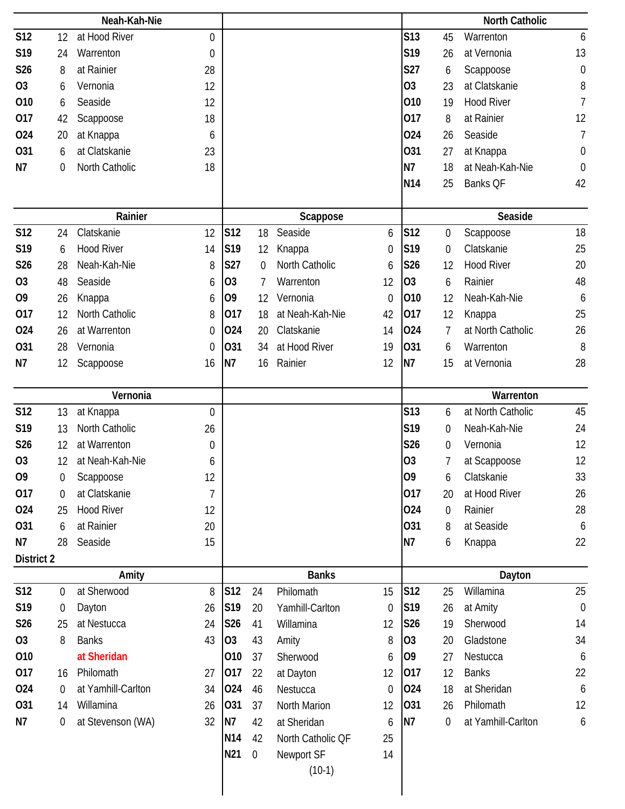|                   |    | Neah-Kah-Nie       |                  |                 |                  |                   |             |                 |                  | <b>North Catholic</b> |                  |
|-------------------|----|--------------------|------------------|-----------------|------------------|-------------------|-------------|-----------------|------------------|-----------------------|------------------|
| <b>S12</b>        | 12 | at Hood River      | 0                |                 |                  |                   |             | <b>S13</b>      | 45               | Warrenton             | $\boldsymbol{6}$ |
| S19               | 24 | Warrenton          | $\boldsymbol{0}$ |                 |                  |                   |             | S19             | 26               | at Vernonia           | 13               |
| S26               | 8  | at Rainier         | 28               |                 |                  |                   |             | S27             | 6                | Scappoose             | $\boldsymbol{0}$ |
| <b>O3</b>         | 6  | Vernonia           | 12               |                 |                  |                   |             | 03              | 23               | at Clatskanie         | 8                |
| 010               | 6  | Seaside            | 12               |                 |                  |                   |             | 010             | 19               | <b>Hood River</b>     | $\overline{7}$   |
| 017               | 42 | Scappoose          | 18               |                 |                  |                   |             | 017             | 8                | at Rainier            | 12               |
| 024               | 20 | at Knappa          | 6                |                 |                  |                   |             | 024             | 26               | Seaside               | $\overline{7}$   |
| <b>O31</b>        | 6  | at Clatskanie      | 23               |                 |                  |                   |             | 031             | 27               | at Knappa             | $\boldsymbol{0}$ |
| N7                | 0  | North Catholic     | 18               |                 |                  |                   |             | N7              | 18               | at Neah-Kah-Nie       | $\mathbf 0$      |
|                   |    |                    |                  |                 |                  |                   |             | N <sub>14</sub> | 25               | Banks QF              | 42               |
|                   |    | Rainier            |                  |                 |                  | Scappose          |             |                 |                  | Seaside               |                  |
| <b>S12</b>        | 24 | Clatskanie         | 12               | S12             | 18               | Seaside           | 6           | <b>S12</b>      | 0                | Scappoose             | 18               |
| S19               | 6  | <b>Hood River</b>  | 14               | S19             | 12               | Knappa            | 0           | S19             | 0                | Clatskanie            | 25               |
| S26               | 28 | Neah-Kah-Nie       | 8                | S27             | 0                | North Catholic    | 6           | S26             | 12               | <b>Hood River</b>     | 20               |
| O <sub>3</sub>    | 48 | Seaside            | 6                | 03              | 7                | Warrenton         | 12          | O <sub>3</sub>  | 6                | Rainier               | 48               |
| O <sub>9</sub>    | 26 | Knappa             | 6                | 09              | 12               | Vernonia          | 0           | 010             | 12               | Neah-Kah-Nie          | 6                |
| 017               | 12 | North Catholic     | 8                | 017             | 18               | at Neah-Kah-Nie   | 42          | 017             | 12               | Knappa                | 25               |
| 024               | 26 | at Warrenton       | 0                | 024             | 20               | Clatskanie        | 14          | 024             | 7                | at North Catholic     | 26               |
| <b>O31</b>        | 28 | Vernonia           | 0                | 031             | 34               | at Hood River     | 19          | 031             | 6                | Warrenton             | 8                |
| N7                | 12 | Scappoose          | 16               | N7              | 16               | Rainier           | 12          | <b>N7</b>       | 15               | at Vernonia           | 28               |
|                   |    | Vernonia           |                  |                 |                  |                   |             |                 |                  | Warrenton             |                  |
| S12               | 13 | at Knappa          | $\overline{0}$   |                 |                  |                   |             | S13             | 6                | at North Catholic     | 45               |
| S19               | 13 | North Catholic     | 26               |                 |                  |                   |             | S19             | $\boldsymbol{0}$ | Neah-Kah-Nie          | 24               |
| S26               | 12 | at Warrenton       | 0                |                 |                  |                   |             | <b>S26</b>      | $\boldsymbol{0}$ | Vernonia              | 12               |
| O <sub>3</sub>    | 12 | at Neah-Kah-Nie    | 6                |                 |                  |                   |             | 03              | 7                | at Scappoose          | 12               |
| O <sub>9</sub>    | 0  | Scappoose          | 12               |                 |                  |                   |             | 09              | 6                | Clatskanie            | 33               |
| 017               | 0  | at Clatskanie      | $\overline{7}$   |                 |                  |                   |             | 017             | 20               | at Hood River         | 26               |
| 024               | 25 | <b>Hood River</b>  | 12               |                 |                  |                   |             | 024             | $\boldsymbol{0}$ | Rainier               | 28               |
| 031               | 6  | at Rainier         | 20               |                 |                  |                   |             | 031             | 8                | at Seaside            | 6                |
| N7                | 28 | Seaside            | 15               |                 |                  |                   |             | <b>N7</b>       | 6                | Knappa                | 22               |
| <b>District 2</b> |    |                    |                  |                 |                  |                   |             |                 |                  |                       |                  |
|                   |    | Amity              |                  |                 |                  | <b>Banks</b>      |             |                 |                  | Dayton                |                  |
| <b>S12</b>        | 0  | at Sherwood        | 8                | S12             | 24               | Philomath         | 15          | <b>S12</b>      | 25               | Willamina             | 25               |
| S19               | 0  | Dayton             | 26               | S <sub>19</sub> | 20               | Yamhill-Carlton   | $\mathbf 0$ | S19             | 26               | at Amity              | $\boldsymbol{0}$ |
| S26               | 25 | at Nestucca        | 24               | S26             | 41               | Willamina         | 12          | S26             | 19               | Sherwood              | 14               |
| <b>O3</b>         | 8  | <b>Banks</b>       | 43               | O <sub>3</sub>  | 43               | Amity             | 8           | 03              | 20               | Gladstone             | 34               |
| 010               |    | at Sheridan        |                  | 010             | 37               | Sherwood          | 6           | O <sub>9</sub>  | 27               | Nestucca              | 6                |
| 017               | 16 | Philomath          | 27               | 017             | 22               | at Dayton         | 12          | 017             | 12               | <b>Banks</b>          | 22               |
| 024               | 0  | at Yamhill-Carlton | 34               | 024             | 46               | Nestucca          | 0           | 024             | 18               | at Sheridan           | 6                |
| 031               | 14 | Willamina          | 26               | 031             | 37               | North Marion      | 12          | 031             | 26               | Philomath             | 12               |
| N7                | 0  | at Stevenson (WA)  | 32               | N7              | 42               | at Sheridan       | 6           | N7              | $\boldsymbol{0}$ | at Yamhill-Carlton    | $\boldsymbol{6}$ |
|                   |    |                    |                  | N14             | 42               | North Catholic QF | 25          |                 |                  |                       |                  |
|                   |    |                    |                  | N21             | $\boldsymbol{0}$ | Newport SF        | 14          |                 |                  |                       |                  |
|                   |    |                    |                  |                 |                  | $(10-1)$          |             |                 |                  |                       |                  |
|                   |    |                    |                  |                 |                  |                   |             |                 |                  |                       |                  |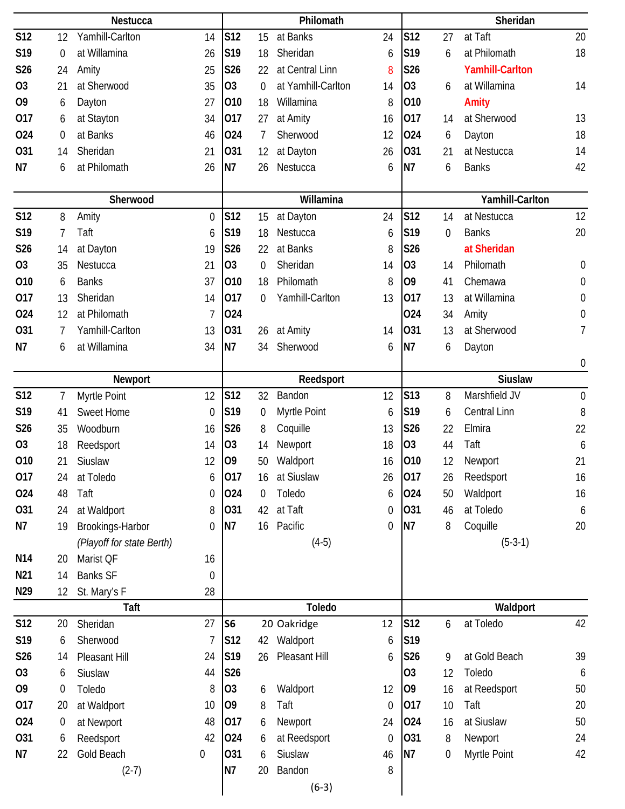|                 |                  | Nestucca                  |                  |                |                  | Philomath          |                  |                |                  | Sheridan               |                  |
|-----------------|------------------|---------------------------|------------------|----------------|------------------|--------------------|------------------|----------------|------------------|------------------------|------------------|
| <b>S12</b>      | 12               | Yamhill-Carlton           | 14               | S12            | 15               | at Banks           | 24               | <b>S12</b>     | 27               | at Taft                | 20               |
| S19             | $\mathbf 0$      | at Willamina              | 26               | S19            | 18               | Sheridan           | 6                | S19            | 6                | at Philomath           | 18               |
| S26             | 24               | Amity                     | 25               | <b>S26</b>     | 22               | at Central Linn    | 8                | S26            |                  | <b>Yamhill-Carlton</b> |                  |
| O <sub>3</sub>  | 21               | at Sherwood               | 35               | O <sub>3</sub> | $\theta$         | at Yamhill-Carlton | 14               | 03             | 6                | at Willamina           | 14               |
| O <sub>9</sub>  | 6                | Dayton                    | 27               | 010            | 18               | Willamina          | 8                | 010            |                  | Amity                  |                  |
| 017             | 6                | at Stayton                | 34               | 017            | 27               | at Amity           | 16               | 017            | 14               | at Sherwood            | 13               |
| 024             | $\mathbf 0$      | at Banks                  | 46               | 024            | 7                | Sherwood           | 12               | 024            | 6                | Dayton                 | 18               |
| <b>O31</b>      | 14               | Sheridan                  | 21               | 031            | 12               | at Dayton          | 26               | 031            | 21               | at Nestucca            | 14               |
| N7              | 6                | at Philomath              | 26               | N7             | 26               | Nestucca           | 6                | N <sub>7</sub> | 6                | <b>Banks</b>           | 42               |
|                 |                  |                           |                  |                |                  |                    |                  |                |                  |                        |                  |
|                 |                  | Sherwood                  |                  |                |                  | Willamina          |                  |                |                  | Yamhill-Carlton        |                  |
| S12             | 8                | Amity                     | 0                | S12            | 15               | at Dayton          | 24               | <b>S12</b>     | 14               | at Nestucca            | 12               |
| S19             | 7                | Taft                      | 6                | S19            | 18               | Nestucca           | 6                | S19            | $\mathbf 0$      | <b>Banks</b>           | 20               |
| S26             | 14               | at Dayton                 | 19               | S26            | 22               | at Banks           | 8                | <b>S26</b>     |                  | at Sheridan            |                  |
| <b>O3</b>       | 35               | Nestucca                  | 21               | <b>O3</b>      | $\boldsymbol{0}$ | Sheridan           | 14               | O <sub>3</sub> | 14               | Philomath              | $\boldsymbol{0}$ |
| 010             | 6                | <b>Banks</b>              | 37               | 010            | 18               | Philomath          | 8                | 09             | 41               | Chemawa                | $\boldsymbol{0}$ |
| 017             | 13               | Sheridan                  | 14               | 017            | $\Omega$         | Yamhill-Carlton    | 13               | 017            | 13               | at Willamina           | $\boldsymbol{0}$ |
| 024             | 12               | at Philomath              | 7                | 024            |                  |                    |                  | 024            | 34               | Amity                  | $\boldsymbol{0}$ |
| <b>O31</b>      | 7                | Yamhill-Carlton           | 13               | 031            | 26               | at Amity           | 14               | 031            | 13               | at Sherwood            | 7                |
| N7              | 6                | at Willamina              | 34               | N7             | 34               | Sherwood           | 6                | N7             | 6                | Dayton                 |                  |
|                 |                  |                           |                  |                |                  |                    |                  |                |                  |                        | $\boldsymbol{0}$ |
|                 |                  | Newport                   |                  |                |                  | Reedsport          |                  |                |                  | <b>Siuslaw</b>         |                  |
| <b>S12</b>      | 7                | Myrtle Point              | 12               | <b>S12</b>     | 32               | Bandon             | 12               | <b>S13</b>     | 8                | Marshfield JV          | $\mathbf 0$      |
| S19             | 41               | Sweet Home                | 0                | S19            | $\boldsymbol{0}$ | Myrtle Point       | 6                | S19            | 6                | Central Linn           | 8                |
| S26             | 35               | Woodburn                  | 16               | <b>S26</b>     | 8                | Coquille           | 13               | S26            | 22               | Elmira                 | 22               |
| <b>O3</b>       | 18               | Reedsport                 | 14               | O <sub>3</sub> | 14               | Newport            | 18               | 03             | 44               | Taft                   | 6                |
| 010             | 21               | Siuslaw                   | 12               | O <sub>9</sub> | 50               | Waldport           | 16               | 010            | 12               | Newport                | 21               |
| 017             | 24               | at Toledo                 | 6                | 017            | 16               | at Siuslaw         | 26               | 017            | 26               | Reedsport              | 16               |
| 024             | 48               | Taft                      | 0                | 024            | 0                | Toledo             | 6                | 024            | 50               | Waldport               | 16               |
| 031             | 24               | at Waldport               | 8                | 031            | 42               | at Taft            | $\boldsymbol{0}$ | 031            | 46               | at Toledo              | 6                |
| N7              | 19               | Brookings-Harbor          | 0                | N <sub>7</sub> | 16               | Pacific            | 0                | N7             | 8                | Coquille               | 20               |
|                 |                  | (Playoff for state Berth) |                  |                |                  | $(4-5)$            |                  |                |                  | $(5-3-1)$              |                  |
| N <sub>14</sub> | 20               | Marist QF                 | 16               |                |                  |                    |                  |                |                  |                        |                  |
| N <sub>21</sub> | 14               | <b>Banks SF</b>           | $\boldsymbol{0}$ |                |                  |                    |                  |                |                  |                        |                  |
| N29             | 12               | St. Mary's F              | 28               |                |                  |                    |                  |                |                  |                        |                  |
|                 |                  | Taft                      |                  |                |                  | Toledo             |                  |                |                  | Waldport               |                  |
| <b>S12</b>      | 20               | Sheridan                  | 27               | S <sub>6</sub> |                  | 20 Oakridge        | 12               | <b>S12</b>     | 6                | at Toledo              | 42               |
| S19             | 6                | Sherwood                  | 7                | S12            | 42               | Waldport           | 6                | S19            |                  |                        |                  |
| S26             | 14               | Pleasant Hill             | 24               | S19            | 26               | Pleasant Hill      | 6                | S26            | 9                | at Gold Beach          | 39               |
| O <sub>3</sub>  | 6                | Siuslaw                   | 44               | S26            |                  |                    |                  | 03             | 12               | Toledo                 | 6                |
| O <sub>9</sub>  | $\boldsymbol{0}$ | Toledo                    | 8                | O <sub>3</sub> | 6                | Waldport           | 12               | O <sub>9</sub> | 16               | at Reedsport           | 50               |
| 017             | 20               | at Waldport               | 10               | O <sub>9</sub> | 8                | Taft               | $\mathbf 0$      | 017            | 10               | Taft                   | 20               |
| 024             | $\boldsymbol{0}$ | at Newport                | 48               | 017            | 6                | Newport            | 24               | 024            | 16               | at Siuslaw             | 50               |
| 031             | 6                | Reedsport                 | 42               | 024            | 6                | at Reedsport       | $\boldsymbol{0}$ | 031            | 8                | Newport                | 24               |
| N7              | 22               | Gold Beach                | 0                | 031            | 6                | Siuslaw            | 46               | N7             | $\boldsymbol{0}$ | Myrtle Point           | 42               |
|                 |                  | $(2-7)$                   |                  | N7             | 20               | Bandon             | 8                |                |                  |                        |                  |
|                 |                  |                           |                  |                |                  | $(6-3)$            |                  |                |                  |                        |                  |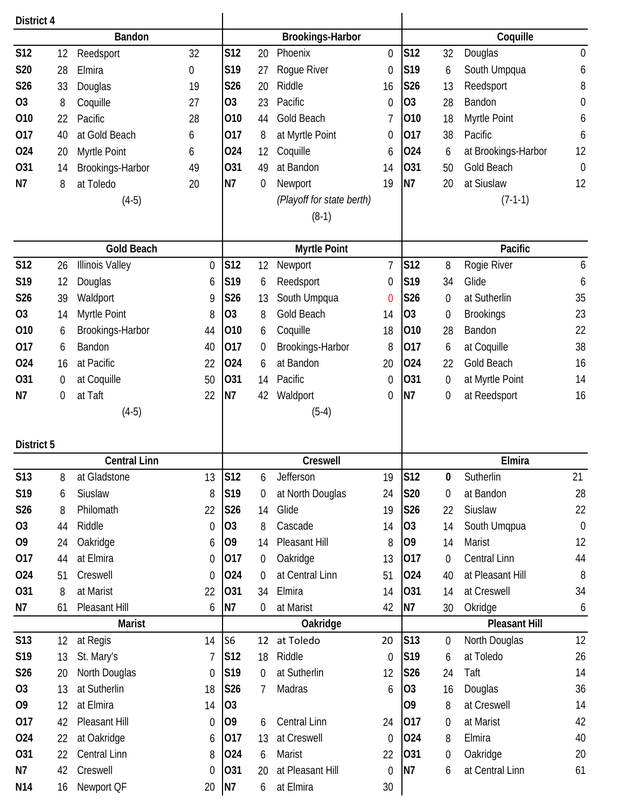| District 4      |                  |                        |                  |                 |    |                           |                  |                |                  |                      |                  |
|-----------------|------------------|------------------------|------------------|-----------------|----|---------------------------|------------------|----------------|------------------|----------------------|------------------|
|                 |                  | Bandon                 |                  |                 |    | Brookings-Harbor          |                  |                |                  | Coquille             |                  |
| <b>S12</b>      | 12               | Reedsport              | 32               | <b>S12</b>      | 20 | Phoenix                   | $\mathbf 0$      | S12            | 32               | Douglas              | $\mathbf 0$      |
| <b>S20</b>      | 28               | Elmira                 | $\boldsymbol{0}$ | S19             | 27 | Rogue River               | $\boldsymbol{0}$ | S19            | 6                | South Umpqua         | 6                |
| S26             | 33               | Douglas                | 19               | S26             | 20 | Riddle                    | 16               | S26            | 13               | Reedsport            | 8                |
| <b>O3</b>       | 8                | Coquille               | 27               | <b>O3</b>       | 23 | Pacific                   | 0                | <b>O3</b>      | 28               | Bandon               | $\boldsymbol{0}$ |
| 010             | 22               | Pacific                | 28               | 010             | 44 | Gold Beach                | 7                | 010            | 18               | Myrtle Point         | 6                |
| 017             | 40               | at Gold Beach          | 6                | 017             | 8  | at Myrtle Point           | 0                | 017            | 38               | Pacific              | 6                |
| 024             | 20               | Myrtle Point           | 6                | 024             | 12 | Coquille                  | 6                | 024            | 6                | at Brookings-Harbor  | 12               |
| <b>O31</b>      | 14               | Brookings-Harbor       | 49               | 031             | 49 | at Bandon                 | 14               | 031            | 50               | Gold Beach           | $\boldsymbol{0}$ |
| N7              | 8                | at Toledo              | 20               | <b>N7</b>       | 0  | Newport                   | 19               | N7             | 20               | at Siuslaw           | 12               |
|                 |                  | $(4-5)$                |                  |                 |    | (Playoff for state berth) |                  |                |                  | $(7-1-1)$            |                  |
|                 |                  |                        |                  |                 |    | $(8-1)$                   |                  |                |                  |                      |                  |
|                 |                  | <b>Gold Beach</b>      |                  |                 |    | <b>Myrtle Point</b>       |                  |                |                  | Pacific              |                  |
| <b>S12</b>      | 26               | <b>Illinois Valley</b> | $\boldsymbol{0}$ | S12             | 12 | Newport                   | $\overline{7}$   | <b>S12</b>     | 8                | Rogie River          | 6                |
| S19             | 12               | Douglas                | 6                | S19             | 6  | Reedsport                 | 0                | S19            | 34               | Glide                | 6                |
| S26             | 39               | Waldport               | 9                | S26             | 13 | South Umpqua              | 0                | S26            | $\boldsymbol{0}$ | at Sutherlin         | 35               |
| O <sub>3</sub>  | 14               | Myrtle Point           | 8                | O <sub>3</sub>  | 8  | Gold Beach                | 14               | O <sub>3</sub> | $\mathbf 0$      | <b>Brookings</b>     | 23               |
| 010             | 6                | Brookings-Harbor       | 44               | 010             | 6  | Coquille                  | 18               | 010            | 28               | Bandon               | 22               |
| 017             | 6                | Bandon                 | 40               | 017             | 0  | Brookings-Harbor          | 8                | 017            | 6                | at Coquille          | 38               |
| 024             | 16               | at Pacific             | 22               | 024             | 6  | at Bandon                 | 20               | 024            | 22               | Gold Beach           | 16               |
| 031             | $\boldsymbol{0}$ | at Coquille            | 50               | 031             | 14 | Pacific                   | 0                | 031            | 0                | at Myrtle Point      | 14               |
| N7              | $\mathbf 0$      | at Taft                | 22               | N7              | 42 | Waldport                  | 0                | N7             | 0                | at Reedsport         | 16               |
|                 |                  | $(4-5)$                |                  |                 |    | $(5-4)$                   |                  |                |                  |                      |                  |
| District 5      |                  |                        |                  |                 |    |                           |                  |                |                  |                      |                  |
|                 |                  | <b>Central Linn</b>    |                  |                 |    | Creswell                  |                  |                |                  | Elmira               |                  |
| <b>S13</b>      | 8                | at Gladstone           | 13               | S12             | 6  | Jefferson                 | 19               | <b>S12</b>     | 0                | Sutherlin            | 21               |
| S19             | 6                | Siuslaw                | 8                | S <sub>19</sub> | 0  | at North Douglas          | 24               | <b>S20</b>     | $\boldsymbol{0}$ | at Bandon            | 28               |
| S26             | 8                | Philomath              | 22               | S26             | 14 | Glide                     | 19               | S26            | 22               | Siuslaw              | 22               |
| O <sub>3</sub>  | 44               | Riddle                 | 0                | O <sub>3</sub>  | 8  | Cascade                   | 14               | O <sub>3</sub> | 14               | South Umqpua         | $\boldsymbol{0}$ |
| O <sub>9</sub>  | 24               | Oakridge               | 6                | 09              | 14 | Pleasant Hill             | 8                | O <sub>9</sub> | 14               | Marist               | 12               |
| 017             | 44               | at Elmira              | $\boldsymbol{0}$ | 017             | 0  | Oakridge                  | 13               | 017            | 0                | Central Linn         | 44               |
| 024             | 51               | Creswell               | 0                | 024             | 0  | at Central Linn           | 51               | 024            | 40               | at Pleasant Hill     | 8                |
| 031             | 8                | at Marist              | 22               | 031             | 34 | Elmira                    | 14               | 031            | 14               | at Creswell          | 34               |
| N7              | 61               | Pleasant Hill          | 6                | N7              | 0  | at Marist                 | 42               | N7             | 30               | Okridge              | 6                |
|                 |                  | <b>Marist</b>          |                  |                 |    | Oakridge                  |                  |                |                  | <b>Pleasant Hill</b> |                  |
| <b>S13</b>      | 12               | at Regis               | 14               | S <sub>6</sub>  | 12 | at Toledo                 | 20               | <b>S13</b>     | $\boldsymbol{0}$ | North Douglas        | 12               |
| S19             | 13               | St. Mary's             | 7                | S12             | 18 | Riddle                    | $\boldsymbol{0}$ | S19            | 6                | at Toledo            | 26               |
| <b>S26</b>      | 20               | North Douglas          | 0                | S19             | 0  | at Sutherlin              | 12               | <b>S26</b>     | 24               | Taft                 | 14               |
| <b>O3</b>       | 13               | at Sutherlin           | 18               | <b>S26</b>      | 7  | Madras                    | 6                | O <sub>3</sub> | 16               | Douglas              | 36               |
| O <sub>9</sub>  | 12               | at Elmira              | 14               | O <sub>3</sub>  |    |                           |                  | 09             | 8                | at Creswell          | 14               |
| 017             | 42               | Pleasant Hill          | $\boldsymbol{0}$ | O <sub>9</sub>  | 6  | <b>Central Linn</b>       | 24               | 017            | $\boldsymbol{0}$ | at Marist            | 42               |
| 024             | 22               | at Oakridge            | 6                | 017             | 13 | at Creswell               | $\mathbf 0$      | 024            | 8                | Elmira               | 40               |
| 031             | 22               | Central Linn           | 8                | 024             | 6  | Marist                    | 22               | 031            | 0                | Oakridge             | 20               |
| N7              | 42               | Creswell               | $\overline{0}$   | 031             | 20 | at Pleasant Hill          | 0                | N7             | 6                | at Central Linn      | 61               |
| N <sub>14</sub> | 16               | Newport QF             | 20               | N7              | 6  | at Elmira                 | 30               |                |                  |                      |                  |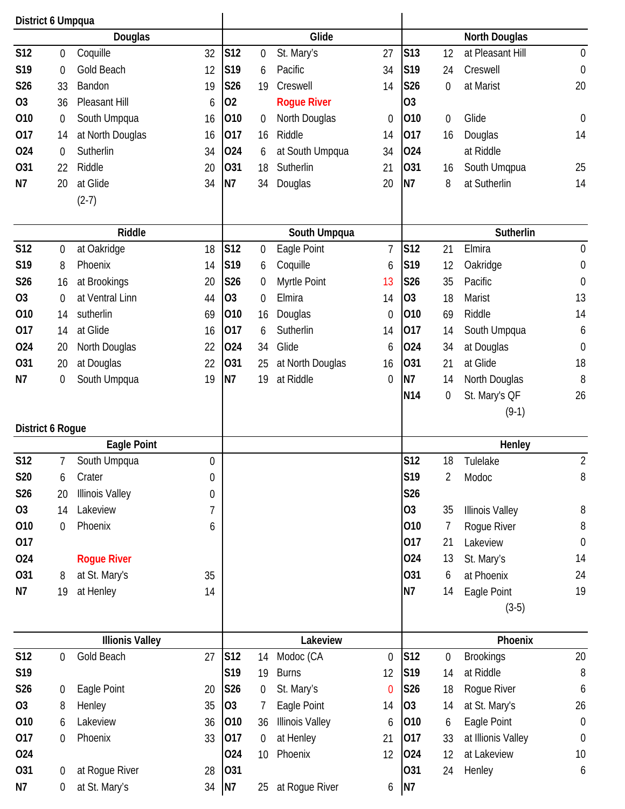| District 6 Umpqua |                  |                        |    |                |                  |                        |                  |                |             |                        |                  |
|-------------------|------------------|------------------------|----|----------------|------------------|------------------------|------------------|----------------|-------------|------------------------|------------------|
|                   |                  | Douglas                |    |                |                  | Glide                  |                  |                |             | <b>North Douglas</b>   |                  |
| <b>S12</b>        | $\mathbf 0$      | Coquille               | 32 | S12            | $\mathbf 0$      | St. Mary's             | 27               | <b>S13</b>     | 12          | at Pleasant Hill       | $\mathbf 0$      |
| S19               | $\mathbf 0$      | <b>Gold Beach</b>      | 12 | S19            | 6                | Pacific                | 34               | S19            | 24          | Creswell               | $\mathbf 0$      |
| S26               | 33               | Bandon                 | 19 | S26            | 19               | Creswell               | 14               | S26            | $\mathbf 0$ | at Marist              | 20               |
| O <sub>3</sub>    | 36               | Pleasant Hill          | 6  | 02             |                  | <b>Rogue River</b>     |                  | 03             |             |                        |                  |
| 010               | 0                | South Umpqua           | 16 | 010            | 0                | North Douglas          | $\boldsymbol{0}$ | 010            | $\mathbf 0$ | Glide                  | $\mathbf 0$      |
| 017               | 14               | at North Douglas       | 16 | 017            | 16               | Riddle                 | 14               | 017            | 16          | Douglas                | 14               |
| 024               | $\boldsymbol{0}$ | Sutherlin              | 34 | 024            | 6                | at South Umpqua        | 34               | 024            |             | at Riddle              |                  |
| 031               | 22               | Riddle                 | 20 | 031            | 18               | Sutherlin              | 21               | 031            | 16          | South Umqpua           | 25               |
| N7                | 20               | at Glide               | 34 | N7             | 34               | Douglas                | 20               | <b>N7</b>      | 8           | at Sutherlin           | 14               |
|                   |                  | $(2-7)$                |    |                |                  |                        |                  |                |             |                        |                  |
|                   |                  |                        |    |                |                  |                        |                  |                |             |                        |                  |
|                   |                  | <b>Riddle</b>          |    |                |                  | South Umpqua           |                  |                |             | Sutherlin              |                  |
| <b>S12</b>        | $\boldsymbol{0}$ | at Oakridge            | 18 | <b>S12</b>     | $\mathbf 0$      | Eagle Point            | $\overline{7}$   | <b>S12</b>     | 21          | Elmira                 | $\mathbf 0$      |
| S19               | 8                | Phoenix                | 14 | S19            | 6                | Coquille               | 6                | S19            | 12          | Oakridge               | $\boldsymbol{0}$ |
| S26               | 16               | at Brookings           | 20 | S26            | $\mathbf 0$      | Myrtle Point           | 13               | S26            | 35          | Pacific                | $\mathbf 0$      |
| O <sub>3</sub>    | $\boldsymbol{0}$ | at Ventral Linn        | 44 | O <sub>3</sub> | $\overline{0}$   | Elmira                 | 14               | O <sub>3</sub> | 18          | Marist                 | 13               |
| 010               | 14               | sutherlin              | 69 | 010            | 16               | Douglas                | 0                | 010            | 69          | Riddle                 | 14               |
| 017               | 14               | at Glide               | 16 | 017            | 6                | Sutherlin              | 14               | 017            | 14          | South Umpqua           | 6                |
| 024               | 20               | North Douglas          | 22 | 024            | 34               | Glide                  | 6                | 024            | 34          | at Douglas             | $\mathbf 0$      |
| 031               | 20               | at Douglas             | 22 | 031            | 25               | at North Douglas       | 16               | 031            | 21          | at Glide               | 18               |
| N7                | 0                | South Umpqua           | 19 | N7             | 19               | at Riddle              | 0                | N7             | 14          | North Douglas          | 8                |
|                   |                  |                        |    |                |                  |                        |                  | <b>N14</b>     | 0           | St. Mary's QF          | 26               |
|                   |                  |                        |    |                |                  |                        |                  |                |             |                        |                  |
|                   |                  |                        |    |                |                  |                        |                  |                |             | $(9-1)$                |                  |
| District 6 Rogue  |                  |                        |    |                |                  |                        |                  |                |             |                        |                  |
|                   |                  | <b>Eagle Point</b>     |    |                |                  |                        |                  |                |             | Henley                 |                  |
| <b>S12</b>        | 7                | South Umpqua           | 0  |                |                  |                        |                  | <b>S12</b>     | 18          | Tulelake               | $\overline{2}$   |
| S20               | 6                | Crater                 | 0  |                |                  |                        |                  | S19            | 2           | Modoc                  | 8                |
| S26               | 20               | <b>Illinois Valley</b> | 0  |                |                  |                        |                  | S26            |             |                        |                  |
| 03                | 14               | Lakeview               | 7  |                |                  |                        |                  | O <sub>3</sub> | 35          | <b>Illinois Valley</b> | 8                |
| 010               | $\boldsymbol{0}$ | Phoenix                | 6  |                |                  |                        |                  | 010            | 7           | Rogue River            | 8                |
| 017               |                  |                        |    |                |                  |                        |                  | 017            | 21          | Lakeview               | $\boldsymbol{0}$ |
| 024               |                  | <b>Rogue River</b>     |    |                |                  |                        |                  | 024            | 13          | St. Mary's             | 14               |
| 031               | 8                | at St. Mary's          | 35 |                |                  |                        |                  | 031            | 6           | at Phoenix             | 24               |
| N7                | 19               | at Henley              | 14 |                |                  |                        |                  | <b>N7</b>      | 14          | Eagle Point            | 19               |
|                   |                  |                        |    |                |                  |                        |                  |                |             | $(3-5)$                |                  |
|                   |                  | <b>Illionis Valley</b> |    |                |                  | Lakeview               |                  |                |             | Phoenix                |                  |
| <b>S12</b>        | $\mathbf 0$      | Gold Beach             | 27 | S12            | 14               | Modoc (CA              | $\boldsymbol{0}$ | <b>S12</b>     | 0           | <b>Brookings</b>       | 20               |
| S19               |                  |                        |    | S19            | 19               | <b>Burns</b>           | 12               | S19            | 14          | at Riddle              | $8\,$            |
| S <sub>26</sub>   | 0                | Eagle Point            | 20 | S26            | 0                | St. Mary's             | 0                | S26            | 18          | Rogue River            | 6                |
| 03                | 8                | Henley                 | 35 | O <sub>3</sub> | 7                | Eagle Point            | 14               | O <sub>3</sub> | 14          | at St. Mary's          | 26               |
| 010               | 6                | Lakeview               | 36 | 010            | 36               | <b>Illinois Valley</b> | 6                | 010            | 6           | Eagle Point            | $\boldsymbol{0}$ |
| 017               | 0                | Phoenix                | 33 | 017            | $\boldsymbol{0}$ | at Henley              | 21               | 017            | 33          | at Illionis Valley     | $\boldsymbol{0}$ |
| 024               |                  |                        |    | 024            | 10               | Phoenix                | 12               | 024            | 12          | at Lakeview            | 10               |
| 031               | 0                | at Rogue River         | 28 | 031            |                  |                        |                  | 031            | 24          | Henley                 | 6                |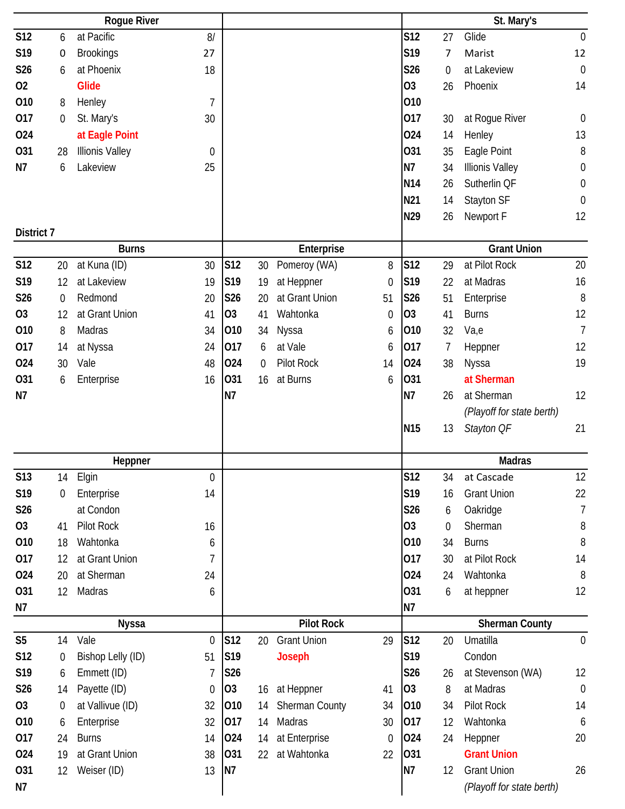|                 |                  | <b>Rogue River</b>     |                  |                |    |                       |                  |                 |                  | St. Mary's                |                  |
|-----------------|------------------|------------------------|------------------|----------------|----|-----------------------|------------------|-----------------|------------------|---------------------------|------------------|
| S12             | 6                | at Pacific             | 8/               |                |    |                       |                  | S12             | 27               | Glide                     | $\boldsymbol{0}$ |
| S19             | 0                | <b>Brookings</b>       | 27               |                |    |                       |                  | S19             | 7                | Marist                    | 12               |
| S26             | 6                | at Phoenix             | 18               |                |    |                       |                  | S26             | 0                | at Lakeview               | $\mathbf 0$      |
| 02              |                  | <b>Glide</b>           |                  |                |    |                       |                  | 03              | 26               | Phoenix                   | 14               |
| 010             | 8                | Henley                 | $\overline{7}$   |                |    |                       |                  | 010             |                  |                           |                  |
| 017             | $\boldsymbol{0}$ | St. Mary's             | 30               |                |    |                       |                  | 017             | 30               | at Rogue River            | $\boldsymbol{0}$ |
| 024             |                  | at Eagle Point         |                  |                |    |                       |                  | 024             | 14               | Henley                    | 13               |
| 031             | 28               | <b>Illionis Valley</b> | $\boldsymbol{0}$ |                |    |                       |                  | 031             | 35               | Eagle Point               | 8                |
| N7              | 6                | Lakeview               | 25               |                |    |                       |                  | <b>N7</b>       | 34               | <b>Illionis Valley</b>    | $\mathbf 0$      |
|                 |                  |                        |                  |                |    |                       |                  | N14             | 26               | Sutherlin QF              | $\boldsymbol{0}$ |
|                 |                  |                        |                  |                |    |                       |                  | N21             | 14               | Stayton SF                | $\boldsymbol{0}$ |
|                 |                  |                        |                  |                |    |                       |                  | N29             | 26               | Newport F                 | 12               |
| District 7      |                  |                        |                  |                |    |                       |                  |                 |                  |                           |                  |
|                 |                  | <b>Burns</b>           |                  |                |    | Enterprise            |                  |                 |                  | <b>Grant Union</b>        |                  |
| <b>S12</b>      | 20               | at Kuna (ID)           | 30               | S12            | 30 | Pomeroy (WA)          | 8                | <b>S12</b>      | 29               | at Pilot Rock             | 20               |
| S19             | 12               | at Lakeview            | 19               | S19            | 19 | at Heppner            | $\boldsymbol{0}$ | S19             | 22               | at Madras                 | 16               |
| S26             | $\boldsymbol{0}$ | Redmond                | 20               | <b>S26</b>     | 20 | at Grant Union        | 51               | S26             | 51               | Enterprise                | 8                |
| <b>O3</b>       | 12               | at Grant Union         | 41               | O <sub>3</sub> | 41 | Wahtonka              | $\mathbf 0$      | O <sub>3</sub>  | 41               | <b>Burns</b>              | 12               |
| 010             | 8                | Madras                 | 34               | 010            | 34 | Nyssa                 | 6                | 010             | 32               | Va,e                      | $\overline{1}$   |
| 017             | 14               | at Nyssa               | 24               | 017            | 6  | at Vale               | 6                | 017             | 7                | Heppner                   | 12               |
| 024             | 30               | Vale                   | 48               | 024            | 0  | Pilot Rock            | 14               | 024             | 38               | Nyssa                     | 19               |
| 031             | 6                | Enterprise             | 16               | 031            | 16 | at Burns              | 6                | 031             |                  | at Sherman                |                  |
| N7              |                  |                        |                  | N7             |    |                       |                  | N7              | 26               | at Sherman                | 12               |
|                 |                  |                        |                  |                |    |                       |                  |                 |                  | (Playoff for state berth) |                  |
|                 |                  |                        |                  |                |    |                       |                  | N <sub>15</sub> | 13               | Stayton OF                | 21               |
|                 |                  |                        |                  |                |    |                       |                  |                 |                  |                           |                  |
|                 |                  | Heppner                |                  |                |    |                       |                  |                 |                  | <b>Madras</b>             |                  |
| S13             | 14               | Elgin                  | 0                |                |    |                       |                  | <b>S12</b>      | 34               | at Cascade                | 12               |
| S <sub>19</sub> | $\mathbf 0$      | Enterprise             | 14               |                |    |                       |                  | S19             | 16               | <b>Grant Union</b>        | 22               |
| S26             |                  | at Condon              |                  |                |    |                       |                  | S26             | 6                | Oakridge                  | $\overline{1}$   |
| <b>O3</b>       | 41               | Pilot Rock             | 16               |                |    |                       |                  | <b>O3</b>       | $\boldsymbol{0}$ | Sherman                   | 8                |
| 010             | 18               | Wahtonka               | 6                |                |    |                       |                  | 010             | 34               | <b>Burns</b>              | 8                |
| 017             | 12               | at Grant Union         | 7                |                |    |                       |                  | 017             | 30               | at Pilot Rock             | 14               |
| 024             | 20               | at Sherman             | 24               |                |    |                       |                  | 024             | 24               | Wahtonka                  | 8                |
| 031             | 12               | Madras                 | 6                |                |    |                       |                  | 031             | 6                | at heppner                | 12               |
| N7              |                  |                        |                  |                |    |                       |                  | N7              |                  |                           |                  |
|                 |                  | <b>Nyssa</b>           |                  |                |    | <b>Pilot Rock</b>     |                  |                 |                  | <b>Sherman County</b>     |                  |
| S <sub>5</sub>  | 14               | Vale                   | $\mathbf 0$      | S12            | 20 | <b>Grant Union</b>    | 29               | S12             | 20               | Umatilla                  | $\mathbf 0$      |
| S12             | $\boldsymbol{0}$ | Bishop Lelly (ID)      | 51               | S19            |    | <b>Joseph</b>         |                  | S19             |                  | Condon                    |                  |
| S19             | 6                | Emmett (ID)            | 7                | S26            |    |                       |                  | <b>S26</b>      | 26               | at Stevenson (WA)         | 12               |
| S26             | 14               | Payette (ID)           | $\overline{0}$   | O <sub>3</sub> | 16 | at Heppner            | 41               | O <sub>3</sub>  | 8                | at Madras                 | $\mathbf 0$      |
| <b>O3</b>       | $\mathbf 0$      | at Vallivue (ID)       | 32               | 010            | 14 | <b>Sherman County</b> | 34               | 010             | 34               | Pilot Rock                | 14               |
| 010             | 6                | Enterprise             | 32               | 017            | 14 | Madras                | 30               | 017             | 12               | Wahtonka                  | 6                |
| 017             | 24               | <b>Burns</b>           | 14               | 024            | 14 | at Enterprise         | 0                | 024             | 24               | Heppner                   | 20               |
| 024             | 19               | at Grant Union         | 38               | 031            | 22 | at Wahtonka           | 22               | 031             |                  | <b>Grant Union</b>        |                  |
| 031             | 12               | Weiser (ID)            | 13               | <b>N7</b>      |    |                       |                  | <b>N7</b>       | 12               | <b>Grant Union</b>        | 26               |
| N7              |                  |                        |                  |                |    |                       |                  |                 |                  | (Playoff for state berth) |                  |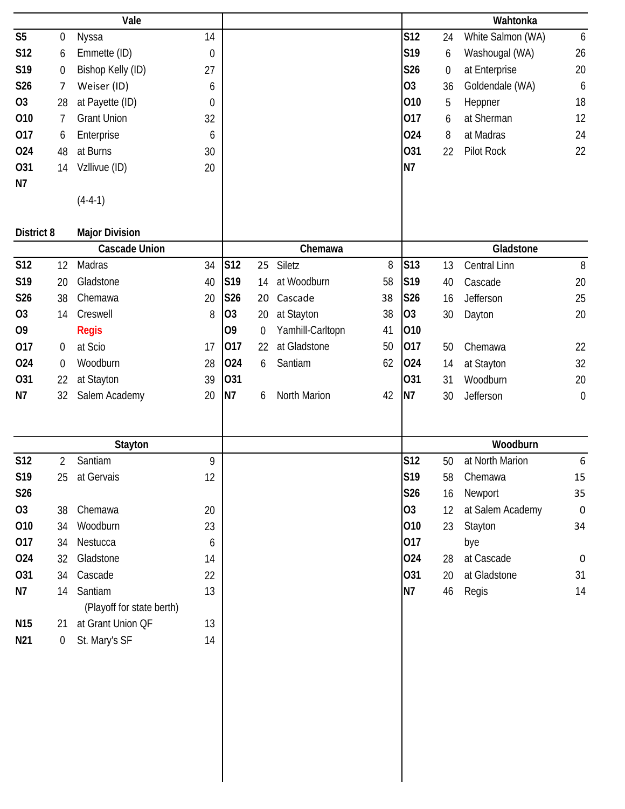|                 |                  | Vale                      |             |                |             |                  |    |                |                  | Wahtonka          |             |
|-----------------|------------------|---------------------------|-------------|----------------|-------------|------------------|----|----------------|------------------|-------------------|-------------|
| S <sub>5</sub>  | $\boldsymbol{0}$ | Nyssa                     | 14          |                |             |                  |    | <b>S12</b>     | 24               | White Salmon (WA) | 6           |
| S12             | 6                | Emmette (ID)              | $\mathbf 0$ |                |             |                  |    | S19            | 6                | Washougal (WA)    | 26          |
| S19             | $\boldsymbol{0}$ | Bishop Kelly (ID)         | 27          |                |             |                  |    | S26            | $\boldsymbol{0}$ | at Enterprise     | 20          |
| S26             | 7                | Weiser (ID)               | 6           |                |             |                  |    | 03             | 36               | Goldendale (WA)   | 6           |
| 03              | 28               | at Payette (ID)           | $\mathbf 0$ |                |             |                  |    | 010            | 5                | Heppner           | 18          |
| 010             | 7                | <b>Grant Union</b>        | 32          |                |             |                  |    | 017            | 6                | at Sherman        | 12          |
| 017             | 6                | Enterprise                | 6           |                |             |                  |    | 024            | 8                | at Madras         | 24          |
| 024             | 48               | at Burns                  | 30          |                |             |                  |    | 031            | 22               | Pilot Rock        | 22          |
| 031             | 14               | Vzllivue (ID)             | 20          |                |             |                  |    | N7             |                  |                   |             |
| N7              |                  |                           |             |                |             |                  |    |                |                  |                   |             |
|                 |                  | $(4-4-1)$                 |             |                |             |                  |    |                |                  |                   |             |
|                 |                  |                           |             |                |             |                  |    |                |                  |                   |             |
| District 8      |                  | <b>Major Division</b>     |             |                |             |                  |    |                |                  |                   |             |
|                 |                  | <b>Cascade Union</b>      |             |                |             | Chemawa          |    |                |                  | Gladstone         |             |
| <b>S12</b>      | 12               | Madras                    | 34          | S12            | 25          | Siletz           | 8  | S13            | 13               | Central Linn      | $8\,$       |
| S19             | 20               | Gladstone                 | 40          | S19            | 14          | at Woodburn      | 58 | S19            | 40               | Cascade           | 20          |
| S26             | 38               | Chemawa                   | 20          | S26            | 20          | Cascade          | 38 | <b>S26</b>     | 16               | Jefferson         | 25          |
| O <sub>3</sub>  | 14               | Creswell                  | 8           | O <sub>3</sub> | 20          | at Stayton       | 38 | O <sub>3</sub> | 30               | Dayton            | 20          |
| O <sub>9</sub>  |                  | <b>Regis</b>              |             | O <sub>9</sub> | $\mathbf 0$ | Yamhill-Carltopn | 41 | 010            |                  |                   |             |
| 017             | 0                | at Scio                   | 17          | 017            | 22          | at Gladstone     | 50 | 017            | 50               | Chemawa           | 22          |
| 024             | $\mathbf 0$      | Woodburn                  | 28          | 024            | 6           | Santiam          | 62 | 024            | 14               | at Stayton        | 32          |
| 031             | 22               | at Stayton                | 39          | 031            |             |                  |    | 031            | 31               | Woodburn          | 20          |
| N7              | 32               | Salem Academy             | 20          | N7             | 6           | North Marion     | 42 | N7             | 30               | Jefferson         | $\mathbf 0$ |
|                 |                  |                           |             |                |             |                  |    |                |                  |                   |             |
|                 |                  |                           |             |                |             |                  |    |                |                  |                   |             |
|                 |                  |                           |             |                |             |                  |    |                |                  |                   |             |
|                 |                  | Stayton                   |             |                |             |                  |    |                |                  | Woodburn          |             |
| <b>S12</b>      | $\overline{2}$   | Santiam                   | 9           |                |             |                  |    | S12            | 50               | at North Marion   | 6           |
| S19             | 25               | at Gervais                | 12          |                |             |                  |    | S19            | 58               | Chemawa           | 15          |
| S26             |                  |                           |             |                |             |                  |    | S26            | 16               | Newport           | 35          |
| 03              | 38               | Chemawa                   | 20          |                |             |                  |    | O <sub>3</sub> | 12               | at Salem Academy  | $\mathbf 0$ |
| 010             | 34               | Woodburn                  | 23          |                |             |                  |    | 010            | 23               | Stayton           | 34          |
| 017             | 34               | Nestucca                  | 6           |                |             |                  |    | 017            |                  | bye               |             |
| 024             | 32               | Gladstone                 | 14          |                |             |                  |    | 024            | 28               | at Cascade        | $\mathbf 0$ |
| 031             | 34               | Cascade                   | 22          |                |             |                  |    | 031            | 20               | at Gladstone      | 31          |
| N7              | 14               | Santiam                   | 13          |                |             |                  |    | <b>N7</b>      | 46               | Regis             | 14          |
|                 |                  | (Playoff for state berth) |             |                |             |                  |    |                |                  |                   |             |
| N <sub>15</sub> | 21               | at Grant Union QF         | 13          |                |             |                  |    |                |                  |                   |             |
| N21             | $\boldsymbol{0}$ | St. Mary's SF             | 14          |                |             |                  |    |                |                  |                   |             |
|                 |                  |                           |             |                |             |                  |    |                |                  |                   |             |
|                 |                  |                           |             |                |             |                  |    |                |                  |                   |             |
|                 |                  |                           |             |                |             |                  |    |                |                  |                   |             |
|                 |                  |                           |             |                |             |                  |    |                |                  |                   |             |
|                 |                  |                           |             |                |             |                  |    |                |                  |                   |             |
|                 |                  |                           |             |                |             |                  |    |                |                  |                   |             |
|                 |                  |                           |             |                |             |                  |    |                |                  |                   |             |